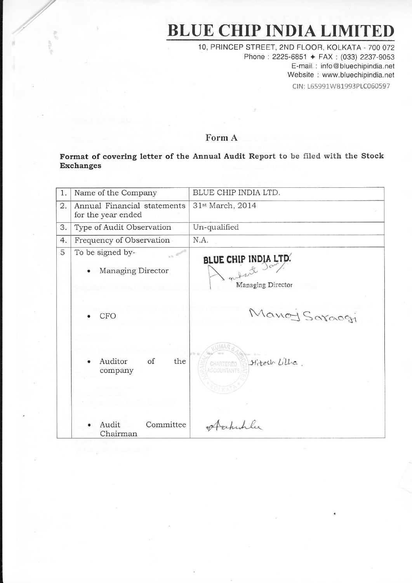# **BLUE CHIP INDIA LIMITED**

10, PRINCEP STREET, 2ND FLOOR, KOLKATA - 7OO 072 Phone: 2225-6851 + FAX: (033) 2237-9053 E-mail : info@bluechipindia.net Website : www.bluechipindia.net CIN: 165991W81993P1C060597

# Form A

Format of covering letter of the Annual Audit Report to be fiIed with the Stock Exchanges

| 1. | Name of the Company                               | BLUE CHIP INDIA LTD.                             |
|----|---------------------------------------------------|--------------------------------------------------|
| 2. | Annual Financial statements<br>for the year ended | 31st March, 2014                                 |
| 3. | Type of Audit Observation                         | Un-qualified                                     |
| 4. | Frequency of Observation                          | N.A.                                             |
| 5  | To be signed by-                                  |                                                  |
|    | Managing Director                                 | BLUE CHIP INDIA LTD.<br>Managing Director        |
|    | CFO                                               | Manoy Saraogi                                    |
|    | Auditor<br>of<br>the<br>company                   | Hitesh Lilha.<br>CHARTERED<br><b>ACCOUNTANTS</b> |
|    | Committee<br>Audit<br>Chairman                    | Aahuhlu                                          |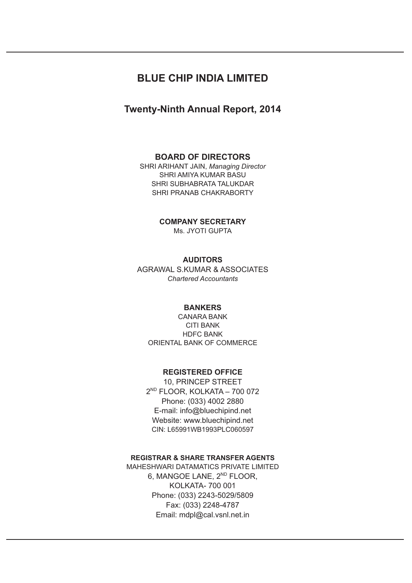# **BLUE CHIP INDIA LIMITED**

# **Twenty-Ninth Annual Report, 2014**

# **BOARD OF DIRECTORS**

SHRI ARIHANT JAIN, *Managing Director* SHRI AMIYA KUMAR BASU SHRI SUBHABRATA TALUKDAR SHRI PRANAB CHAKRABORTY

#### **COMPANY SECRETARY** Ms. JYOTI GUPTA

#### **AUDITORS** AGRAWAL S.KUMAR & ASSOCIATES *Chartered Accountants*

# **BANKERS**

CANARA BANK CITI BANK HDFC BANK ORIENTAL BANK OF COMMERCE

# **REGISTERED OFFICE**

10, PRINCEP STREET 2<sup>ND</sup> FLOOR, KOLKATA – 700 072 Phone: (033) 4002 2880 E-mail: info@bluechipind.net Website: www.bluechipind.net CIN: L65991WB1993PLC060597

# **REGISTRAR & SHARE TRANSFER AGENTS**

MAHESHWARI DATAMATICS PRIVATE LIMITED 6, MANGOE LANE, 2<sup>ND</sup> FLOOR, KOLKATA- 700 001 Phone: (033) 2243-5029/5809 Fax: (033) 2248-4787 Email: mdpl@cal.vsnl.net.in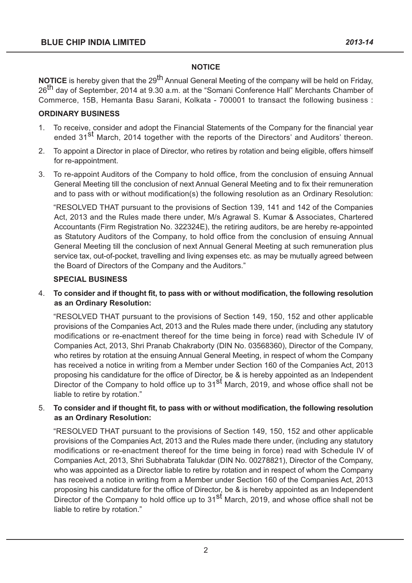# **NOTICE**

**NOTICE** is hereby given that the 29<sup>th</sup> Annual General Meeting of the company will be held on Friday, 26<sup>th</sup> day of September, 2014 at 9.30 a.m. at the "Somani Conference Hall" Merchants Chamber of Commerce, 15B, Hemanta Basu Sarani, Kolkata - 700001 to transact the following business :

# **ORDINARY BUSINESS**

- 1. To receive, consider and adopt the Financial Statements of the Company for the financial year ended 31<sup>st</sup> March, 2014 together with the reports of the Directors' and Auditors' thereon.
- 2. To appoint a Director in place of Director, who retires by rotation and being eligible, offers himself for re-appointment.
- 3. To re-appoint Auditors of the Company to hold office, from the conclusion of ensuing Annual General Meeting till the conclusion of next Annual General Meeting and to fix their remuneration and to pass with or without modification(s) the following resolution as an Ordinary Resolution:

RESOLVED THAT pursuant to the provisions of Section 139, 141 and 142 of the Companies Act, 2013 and the Rules made there under, M/s Agrawal S. Kumar & Associates, Chartered Accountants (Firm Registration No. 322324E), the retiring auditors, be are hereby re-appointed as Statutory Auditors of the Company, to hold office from the conclusion of ensuing Annual General Meeting till the conclusion of next Annual General Meeting at such remuneration plus service tax, out-of-pocket, travelling and living expenses etc. as may be mutually agreed between the Board of Directors of the Company and the Auditors.

### **SPECIAL BUSINESS**

4. **To consider and if thought fit, to pass with or without modification, the following resolution as an Ordinary Resolution:**

RESOLVED THAT pursuant to the provisions of Section 149, 150, 152 and other applicable provisions of the Companies Act, 2013 and the Rules made there under, (including any statutory modifications or re-enactment thereof for the time being in force) read with Schedule IV of Companies Act, 2013, Shri Pranab Chakraborty (DIN No. 03568360), Director of the Company, who retires by rotation at the ensuing Annual General Meeting, in respect of whom the Company has received a notice in writing from a Member under Section 160 of the Companies Act, 2013 proposing his candidature for the office of Director, be & is hereby appointed as an Independent Director of the Company to hold office up to 31<sup>st</sup> March, 2019, and whose office shall not be liable to retire by rotation."

# 5. **To consider and if thought fit, to pass with or without modification, the following resolution as an Ordinary Resolution:**

RESOLVED THAT pursuant to the provisions of Section 149, 150, 152 and other applicable provisions of the Companies Act, 2013 and the Rules made there under, (including any statutory modifications or re-enactment thereof for the time being in force) read with Schedule IV of Companies Act, 2013, Shri Subhabrata Talukdar (DIN No. 00278821), Director of the Company, who was appointed as a Director liable to retire by rotation and in respect of whom the Company has received a notice in writing from a Member under Section 160 of the Companies Act, 2013 proposing his candidature for the office of Director, be & is hereby appointed as an Independent Director of the Company to hold office up to  $31<sup>st</sup>$  March, 2019, and whose office shall not be liable to retire by rotation."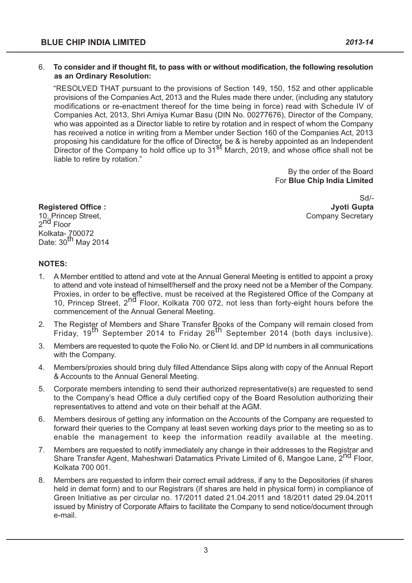#### 6. **To consider and if thought fit, to pass with or without modification, the following resolution as an Ordinary Resolution:**

RESOLVED THAT pursuant to the provisions of Section 149, 150, 152 and other applicable provisions of the Companies Act, 2013 and the Rules made there under, (including any statutory modifications or re-enactment thereof for the time being in force) read with Schedule IV of Companies Act, 2013, Shri Amiya Kumar Basu (DIN No. 00277676), Director of the Company, who was appointed as a Director liable to retire by rotation and in respect of whom the Company has received a notice in writing from a Member under Section 160 of the Companies Act, 2013 proposing his candidature for the office of Director, be & is hereby appointed as an Independent<br>Director of the Company to hold office up to 31<sup>St</sup> March, 2019, and whose office shall not be liable to retire by rotation."

> By the order of the Board For **Blue Chip India Limited**

2<sup>nd</sup> Floor Kolkata- 700072<br>Date: 30<sup>th</sup> May 2014

 Sd/- **Registered Office :**  $\qquad \qquad$  Jyoti Gupta 10, Princep Street, **Company Secretary** 

# **NOTES:**

- 1. A Member entitled to attend and vote at the Annual General Meeting is entitled to appoint a proxy to attend and vote instead of himself/herself and the proxy need not be a Member of the Company. Proxies, in order to be effective, must be received at the Registered Office of the Company at 10, Princep Street, 2<sup>nd</sup> Floor, Kolkata 700 072, not less than forty-eight hours before the commencement of the Annual General Meeting.
- 2. The Register of Members and Share Transfer Books of the Company will remain closed from<br>Friday, 19<sup>th</sup> September 2014 to Friday 26<sup>th</sup> September 2014 (both days inclusive).
- 3. Members are requested to quote the Folio No. or Client Id. and DP Id numbers in all communications with the Company.
- 4. Members/proxies should bring duly filled Attendance Slips along with copy of the Annual Report & Accounts to the Annual General Meeting.
- 5. Corporate members intending to send their authorized representative(s) are requested to send to the Company's head Office a duly certified copy of the Board Resolution authorizing their representatives to attend and vote on their behalf at the AGM.
- 6. Members desirous of getting any information on the Accounts of the Company are requested to forward their queries to the Company at least seven working days prior to the meeting so as to enable the management to keep the information readily available at the meeting.
- 7. Members are requested to notify immediately any change in their addresses to the Registrar and Share Transfer Agent, Maheshwari Datamatics Private Limited of 6, Mangoe Lane, 2<sup>nd</sup> Floor, Kolkata 700 001.
- 8. Members are requested to inform their correct email address, if any to the Depositories (if shares held in demat form) and to our Registrars (if shares are held in physical form) in compliance of Green Initiative as per circular no. 17/2011 dated 21.04.2011 and 18/2011 dated 29.04.2011 issued by Ministry of Corporate Affairs to facilitate the Company to send notice/document through e-mail.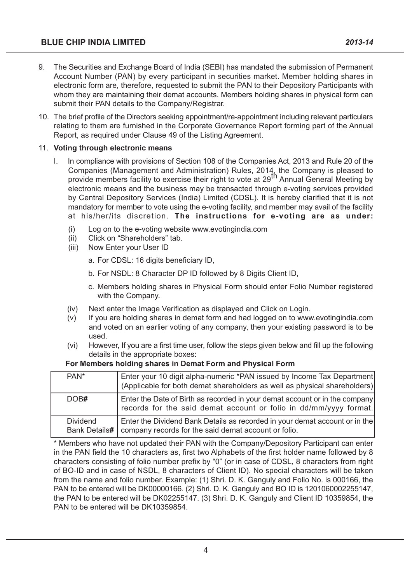- 9. The Securities and Exchange Board of India (SEBI) has mandated the submission of Permanent Account Number (PAN) by every participant in securities market. Member holding shares in electronic form are, therefore, requested to submit the PAN to their Depository Participants with whom they are maintaining their demat accounts. Members holding shares in physical form can submit their PAN details to the Company/Registrar.
- 10. The brief profile of the Directors seeking appointment/re-appointment including relevant particulars relating to them are furnished in the Corporate Governance Report forming part of the Annual Report, as required under Clause 49 of the Listing Agreement.

### 11. **Voting through electronic means**

- In compliance with provisions of Section 108 of the Companies Act, 2013 and Rule 20 of the Companies (Management and Administration) Rules, 2014, the Company is pleased to provide members facility to exercise their right to vote at 29<sup>th</sup> Annual General Meeting by electronic means and the business may be transacted through e-voting services provided by Central Depository Services (India) Limited (CDSL). It is hereby clarified that it is not mandatory for member to vote using the e-voting facility, and member may avail of the facility at his/her/its discretion. **The instructions for e-voting are as under:**
	- (i) Log on to the e-voting website www.evotingindia.com
	- (ii) Click on "Shareholders" tab.
	- (iii) Now Enter your User ID

a. For CDSL: 16 digits beneficiary ID,

- b. For NSDL: 8 Character DP ID followed by 8 Digits Client ID,
- c. Members holding shares in Physical Form should enter Folio Number registered with the Company.
- (iv) Next enter the Image Verification as displayed and Click on Login.
- (v) If you are holding shares in demat form and had logged on to www.evotingindia.com and voted on an earlier voting of any company, then your existing password is to be used.
- (vi) However, If you are a first time user, follow the steps given below and fill up the following details in the appropriate boxes:

# **For Members holding shares in Demat Form and Physical Form**

| PAN <sup>*</sup>                        | Enter your 10 digit alpha-numeric *PAN issued by Income Tax Department<br>(Applicable for both demat shareholders as well as physical shareholders) |
|-----------------------------------------|-----------------------------------------------------------------------------------------------------------------------------------------------------|
| DOB#                                    | Enter the Date of Birth as recorded in your demat account or in the company<br>records for the said demat account or folio in dd/mm/yyyy format.    |
| <b>Dividend</b><br><b>Bank Details#</b> | Enter the Dividend Bank Details as recorded in your demat account or in the<br>company records for the said demat account or folio.                 |

 \* Members who have not updated their PAN with the Company/Depository Participant can enter in the PAN field the 10 characters as, first two Alphabets of the first holder name followed by 8 characters consisting of folio number prefix by "0" (or in case of CDSL, 8 characters from right of BO-ID and in case of NSDL, 8 characters of Client ID). No special characters will be taken from the name and folio number. Example: (1) Shri. D. K. Ganguly and Folio No. is 000166, the PAN to be entered will be DK00000166. (2) Shri. D. K. Ganguly and BO ID is 1201060002255147, the PAN to be entered will be DK02255147. (3) Shri. D. K. Ganguly and Client ID 10359854, the PAN to be entered will be DK10359854.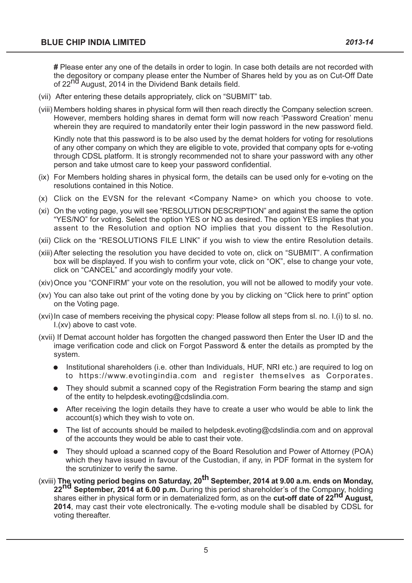**#** Please enter any one of the details in order to login. In case both details are not recorded with the depository or company please enter the Number of Shares held by you as on Cut-Off Date of 22<sup>nd</sup> August, 2014 in the Dividend Bank details field.

- (vii) After entering these details appropriately, click on "SUBMIT" tab.
- (viii) Members holding shares in physical form will then reach directly the Company selection screen. However, members holding shares in demat form will now reach 'Password Creation' menu wherein they are required to mandatorily enter their login password in the new password field.

Kindly note that this password is to be also used by the demat holders for voting for resolutions of any other company on which they are eligible to vote, provided that company opts for e-voting through CDSL platform. It is strongly recommended not to share your password with any other person and take utmost care to keep your password confidential.

- (ix) For Members holding shares in physical form, the details can be used only for e-voting on the resolutions contained in this Notice.
- (x) Click on the EVSN for the relevant <Company Name> on which you choose to vote.
- (xi) On the voting page, you will see "RESOLUTION DESCRIPTION" and against the same the option "YES/NO" for voting. Select the option YES or NO as desired. The option YES implies that you assent to the Resolution and option NO implies that you dissent to the Resolution.
- (xii) Click on the "RESOLUTIONS FILE LINK" if you wish to view the entire Resolution details.
- (xiii) After selecting the resolution you have decided to vote on, click on "SUBMIT". A confirmation box will be displayed. If you wish to confirm your vote, click on "OK", else to change your vote, click on "CANCEL" and accordingly modify your vote.
- (xiv) Once you "CONFIRM" your vote on the resolution, you will not be allowed to modify your vote.
- (xv) You can also take out print of the voting done by you by clicking on "Click here to print" option on the Voting page.
- (xvi)In case of members receiving the physical copy: Please follow all steps from sl. no. I.(i) to sl. no. I.(xv) above to cast vote.
- (xvii) If Demat account holder has forgotten the changed password then Enter the User ID and the image verification code and click on Forgot Password & enter the details as prompted by the system.
	- Institutional shareholders (i.e. other than Individuals, HUF, NRI etc.) are required to log on to https://www.evotingindia.com and register themselves as Corporates.
	- They should submit a scanned copy of the Registration Form bearing the stamp and sign of the entity to helpdesk.evoting@cdslindia.com.
	- After receiving the login details they have to create a user who would be able to link the account(s) which they wish to vote on.
	- The list of accounts should be mailed to helpdesk.evoting@cdslindia.com and on approval  $\bullet$ of the accounts they would be able to cast their vote.
	- They should upload a scanned copy of the Board Resolution and Power of Attorney (POA) which they have issued in favour of the Custodian, if any, in PDF format in the system for the scrutinizer to verify the same.
- (xviii) **The voting period begins on Saturday, 20th September, 2014 at 9.00 a.m. ends on Monday,** 22<sup>nd</sup> September, 2014 at 6.00 p.m. During this period shareholder's of the Company, holding shares either in physical form or in dematerialized form, as on the **cut-off date of 22nd August, 2014**, may cast their vote electronically. The e-voting module shall be disabled by CDSL for voting thereafter.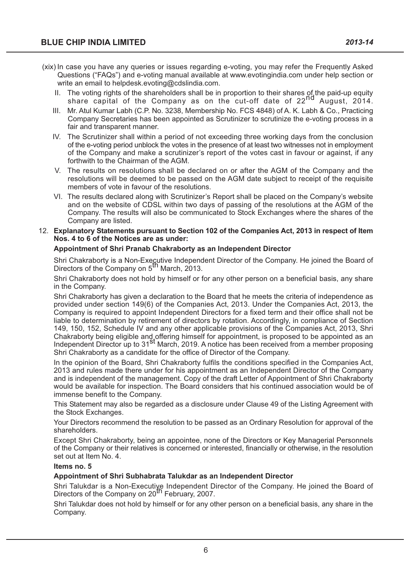- (xix) In case you have any queries or issues regarding e-voting, you may refer the Frequently Asked Questions (FAQs) and e-voting manual available at www.evotingindia.com under help section or write an email to helpdesk.evoting@cdslindia.com.
	- II. The voting rights of the shareholders shall be in proportion to their shares of the paid-up equity share capital of the Company as on the cut-off date of 22<sup>nd</sup> August, 2014.
	- III. Mr. Atul Kumar Labh (C.P. No. 3238, Membership No. FCS 4848) of A. K. Labh & Co., Practicing Company Secretaries has been appointed as Scrutinizer to scrutinize the e-voting process in a fair and transparent manner.
	- IV. The Scrutinizer shall within a period of not exceeding three working days from the conclusion of the e-voting period unblock the votes in the presence of at least two witnesses not in employment of the Company and make a scrutinizer's report of the votes cast in favour or against, if any forthwith to the Chairman of the AGM.
	- V. The results on resolutions shall be declared on or after the AGM of the Company and the resolutions will be deemed to be passed on the AGM date subject to receipt of the requisite members of vote in favour of the resolutions.
	- VI. The results declared along with Scrutinizer's Report shall be placed on the Company's website and on the website of CDSL within two days of passing of the resolutions at the AGM of the Company. The results will also be communicated to Stock Exchanges where the shares of the Company are listed.
- 12. **Explanatory Statements pursuant to Section 102 of the Companies Act, 2013 in respect of Item Nos. 4 to 6 of the Notices are as under:**

#### **Appointment of Shri Pranab Chakraborty as an Independent Director**

Shri Chakraborty is a Non-Executive Independent Director of the Company. He joined the Board of<br>Directors of the Company on 5<sup>th</sup> March, 2013.

Shri Chakraborty does not hold by himself or for any other person on a beneficial basis, any share in the Company.

Shri Chakraborty has given a declaration to the Board that he meets the criteria of independence as provided under section 149(6) of the Companies Act, 2013. Under the Companies Act, 2013, the Company is required to appoint Independent Directors for a fixed term and their office shall not be liable to determination by retirement of directors by rotation. Accordingly, in compliance of Section 149, 150, 152, Schedule IV and any other applicable provisions of the Companies Act, 2013, Shri Chakraborty being eligible and offering himself for appointment, is proposed to be appointed as an Independent Director up to 31<sup>st</sup> March, 2019. A notice has been received from a member proposing Shri Chakraborty as a candidate for the office of Director of the Company.

In the opinion of the Board, Shri Chakraborty fulfils the conditions specified in the Companies Act, 2013 and rules made there under for his appointment as an Independent Director of the Company and is independent of the management. Copy of the draft Letter of Appointment of Shri Chakraborty would be available for inspection. The Board considers that his continued association would be of immense benefit to the Company.

This Statement may also be regarded as a disclosure under Clause 49 of the Listing Agreement with the Stock Exchanges.

Your Directors recommend the resolution to be passed as an Ordinary Resolution for approval of the shareholders.

Except Shri Chakraborty, being an appointee, none of the Directors or Key Managerial Personnels of the Company or their relatives is concerned or interested, financially or otherwise, in the resolution set out at Item No. 4.

#### **Items no. 5**

#### **Appointment of Shri Subhabrata Talukdar as an Independent Director**

Shri Talukdar is a Non-Executiye Independent Director of the Company. He joined the Board of<br>Directors of the Company on 20<sup>th</sup> February, 2007.

Shri Talukdar does not hold by himself or for any other person on a beneficial basis, any share in the Company.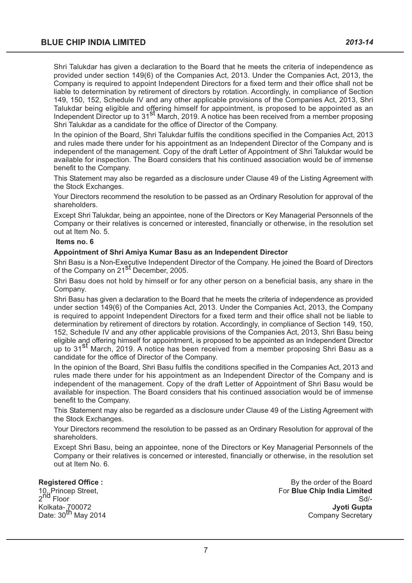Shri Talukdar has given a declaration to the Board that he meets the criteria of independence as provided under section 149(6) of the Companies Act, 2013. Under the Companies Act, 2013, the Company is required to appoint Independent Directors for a fixed term and their office shall not be liable to determination by retirement of directors by rotation. Accordingly, in compliance of Section 149, 150, 152, Schedule IV and any other applicable provisions of the Companies Act, 2013, Shri Talukdar being eligible and offering himself for appointment, is proposed to be appointed as an Independent Director up to 31st March, 2019. A notice has been received from a member proposing Shri Talukdar as a candidate for the office of Director of the Company.

In the opinion of the Board, Shri Talukdar fulfils the conditions specified in the Companies Act, 2013 and rules made there under for his appointment as an Independent Director of the Company and is independent of the management. Copy of the draft Letter of Appointment of Shri Talukdar would be available for inspection. The Board considers that his continued association would be of immense benefit to the Company.

This Statement may also be regarded as a disclosure under Clause 49 of the Listing Agreement with the Stock Exchanges.

Your Directors recommend the resolution to be passed as an Ordinary Resolution for approval of the shareholders.

Except Shri Talukdar, being an appointee, none of the Directors or Key Managerial Personnels of the Company or their relatives is concerned or interested, financially or otherwise, in the resolution set out at Item No. 5.

#### **Items no. 6**

#### **Appointment of Shri Amiya Kumar Basu as an Independent Director**

Shri Basu is a Non-Executive Independent Director of the Company. He joined the Board of Directors of the Company on 21st December, 2005.

Shri Basu does not hold by himself or for any other person on a beneficial basis, any share in the Company.

Shri Basu has given a declaration to the Board that he meets the criteria of independence as provided under section 149(6) of the Companies Act, 2013. Under the Companies Act, 2013, the Company is required to appoint Independent Directors for a fixed term and their office shall not be liable to determination by retirement of directors by rotation. Accordingly, in compliance of Section 149, 150, 152, Schedule IV and any other applicable provisions of the Companies Act, 2013, Shri Basu being eligible and offering himself for appointment, is proposed to be appointed as an Independent Director up to 31<sup>st</sup> March, 2019. A notice has been received from a member proposing Shri Basu as a candidate for the office of Director of the Company.

In the opinion of the Board, Shri Basu fulfils the conditions specified in the Companies Act, 2013 and rules made there under for his appointment as an Independent Director of the Company and is independent of the management. Copy of the draft Letter of Appointment of Shri Basu would be available for inspection. The Board considers that his continued association would be of immense benefit to the Company.

This Statement may also be regarded as a disclosure under Clause 49 of the Listing Agreement with the Stock Exchanges.

Your Directors recommend the resolution to be passed as an Ordinary Resolution for approval of the shareholders.

Except Shri Basu, being an appointee, none of the Directors or Key Managerial Personnels of the Company or their relatives is concerned or interested, financially or otherwise, in the resolution set out at Item No. 6.

2<sup>nd</sup> Floor

**Registered Office :** By the order of the Board<br>
10. Princep Street, **But a Board**<br> **Registered Office :** But a Board<br> **Registered Office :** But a Board<br> **Registered Office :** But a Board **For Blue Chip India Limited** nd Floor Sd/-<br>nd Floor Sd/-Kolkata- 700072 **Jyoti Gupta** Date: 30<sup>th</sup> May 2014 Company Secretary Company Secretary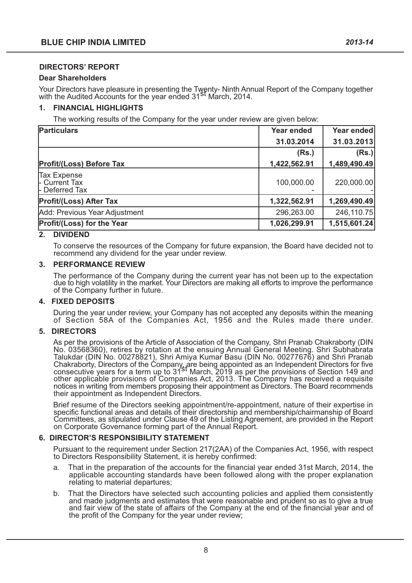#### **DIRECTORS' REPORT**

#### **Dear Shareholders**

Your Directors have pleasure in presenting the Twenty- Ninth Annual Report of the Company together<br>with the Audited Accounts for the year ended 31<sup>St</sup> March, 2014.

# **1. FINANCIAL HIGHLIGHTS**

The working results of the Company for the year under review are given below:

| <b>Particulars</b>                             | Year ended   | Year ended   |
|------------------------------------------------|--------------|--------------|
|                                                | 31.03.2014   | 31.03.2013   |
|                                                | (Rs.)        | (Rs.)        |
| <b>Profit/(Loss) Before Tax</b>                | 1,422,562.91 | 1,489,490.49 |
| Tax Expense<br>- Current Tax<br>- Deferred Tax | 100,000.00   | 220,000.00   |
| <b>Profit/(Loss) After Tax</b>                 | 1,322,562.91 | 1,269,490.49 |
| Add: Previous Year Adjustment                  | 296,263.00   | 246,110.75   |
| Profit/(Loss) for the Year                     | 1,026,299.91 | 1,515,601.24 |

#### **2. DIVIDEND**

To conserve the resources of the Company for future expansion, the Board have decided not to recommend any dividend for the year under review.

#### **3. PERFORMANCE REVIEW**

The performance of the Company during the current year has not been up to the expectation due to high volatility in the market. Your Directors are making all efforts to improve the performance of the Company further in future.

#### **4. FIXED DEPOSITS**

During the year under review, your Company has not accepted any deposits within the meaning of Section 58A of the Companies Act, 1956 and the Rules made there under.

#### **5. DIRECTORS**

As per the provisions of the Article of Association of the Company, Shri Pranab Chakraborty (DIN No. 03568360), retires by rotation at the ensuing Annual General Meeting. Shri Subhabrata Talukdar (DIN No. 00278821), Shri Amiya Kumar Basu (DIN No. 00277676) and Shri Pranab Chakraborty, Directors of the Company, are being appointed as an Independent Directors for five<br>consecutive years for a term up to 31<sup>st</sup> March, 2019 as per the provisions of Section 149 and other applicable provisions of Companies Act, 2013. The Company has received a requisite notices in writing from members proposing their appointment as Directors. The Board recommends their appointment as Independent Directors.

Brief resume of the Directors seeking appointment/re-appointment, nature of their expertise in specific functional areas and details of their directorship and membership/chairmanship of Board Committees, as stipulated under Clause 49 of the Listing Agreement, are provided in the Report on Corporate Governance forming part of the Annual Report.

#### **6. DIRECTOR'S RESPONSIBILITY STATEMENT**

Pursuant to the requirement under Section 217(2AA) of the Companies Act, 1956, with respect to Directors Responsibility Statement, it is hereby confirmed:

- a. That in the preparation of the accounts for the financial year ended 31st March, 2014, the applicable accounting standards have been followed along with the proper explanation relating to material departures;
- b. That the Directors have selected such accounting policies and applied them consistently and made judgments and estimates that were reasonable and prudent so as to give a true and fair view of the state of affairs of the Company at the end of the financial year and of the profit of the Company for the year under review;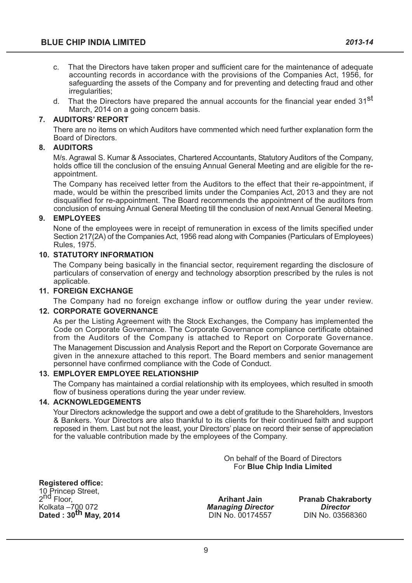- c. That the Directors have taken proper and sufficient care for the maintenance of adequate accounting records in accordance with the provisions of the Companies Act, 1956, for safeguarding the assets of the Company and for preventing and detecting fraud and other irregularities;
- d. That the Directors have prepared the annual accounts for the financial vear ended 31<sup>st</sup> March, 2014 on a going concern basis.

#### **7. AUDITORS REPORT**

There are no items on which Auditors have commented which need further explanation form the Board of Directors.

#### **8. AUDITORS**

M/s. Agrawal S. Kumar & Associates, Chartered Accountants, Statutory Auditors of the Company, holds office till the conclusion of the ensuing Annual General Meeting and are eligible for the reappointment.

The Company has received letter from the Auditors to the effect that their re-appointment, if made, would be within the prescribed limits under the Companies Act, 2013 and they are not disqualified for re-appointment. The Board recommends the appointment of the auditors from conclusion of ensuing Annual General Meeting till the conclusion of next Annual General Meeting.

#### **9. EMPLOYEES**

None of the employees were in receipt of remuneration in excess of the limits specified under Section 217(2A) of the Companies Act, 1956 read along with Companies (Particulars of Employees) Rules, 1975.

#### **10. STATUTORY INFORMATION**

The Company being basically in the financial sector, requirement regarding the disclosure of particulars of conservation of energy and technology absorption prescribed by the rules is not applicable.

#### **11. FOREIGN EXCHANGE**

The Company had no foreign exchange inflow or outflow during the year under review.

#### **12. CORPORATE GOVERNANCE**

As per the Listing Agreement with the Stock Exchanges, the Company has implemented the Code on Corporate Governance. The Corporate Governance compliance certificate obtained from the Auditors of the Company is attached to Report on Corporate Governance.

The Management Discussion and Analysis Report and the Report on Corporate Governance are given in the annexure attached to this report. The Board members and senior management personnel have confirmed compliance with the Code of Conduct.

#### **13. EMPLOYER EMPLOYEE RELATIONSHIP**

The Company has maintained a cordial relationship with its employees, which resulted in smooth flow of business operations during the year under review.

#### **14. ACKNOWLEDGEMENTS**

Your Directors acknowledge the support and owe a debt of gratitude to the Shareholders, Investors & Bankers. Your Directors are also thankful to its clients for their continued faith and support reposed in them. Last but not the least, your Directors' place on record their sense of appreciation for the valuable contribution made by the employees of the Company.

> On behalf of the Board of Directors For **Blue Chip India Limited**

**Registered office:** 10 Princep Street, 2<sup>ñd</sup> Floor,<br>Kolkata –700 072 **Dated : 30<sup>th</sup> May, 2014** 

nd Floor, **Arihant Jain Pranab Chakraborty** Kolkata 700 072 *Managing Director Director*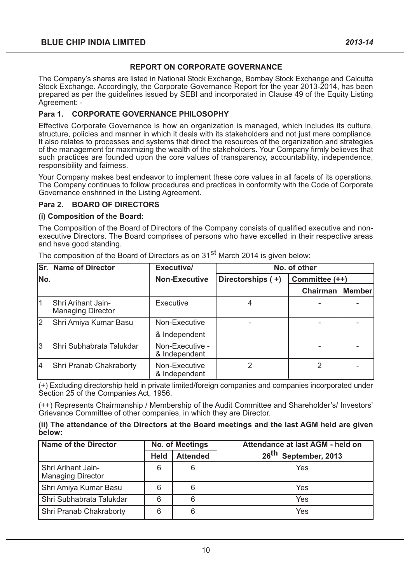# **REPORT ON CORPORATE GOVERNANCE**

The Company's shares are listed in National Stock Exchange, Bombay Stock Exchange and Calcutta Stock Exchange. Accordingly, the Corporate Governance Report for the year 2013-2014, has been prepared as per the guidelines issued by SEBI and incorporated in Clause 49 of the Equity Listing Agreement: -

# **Para 1. CORPORATE GOVERNANCE PHILOSOPHY**

Effective Corporate Governance is how an organization is managed, which includes its culture, structure, policies and manner in which it deals with its stakeholders and not just mere compliance. It also relates to processes and systems that direct the resources of the organization and strategies of the management for maximizing the wealth of the stakeholders. Your Company firmly believes that such practices are founded upon the core values of transparency, accountability, independence, responsibility and fairness.

Your Company makes best endeavor to implement these core values in all facets of its operations. The Company continues to follow procedures and practices in conformity with the Code of Corporate Governance enshrined in the Listing Agreement.

### **Para 2. BOARD OF DIRECTORS**

### **(i) Composition of the Board:**

The Composition of the Board of Directors of the Company consists of qualified executive and nonexecutive Directors. The Board comprises of persons who have excelled in their respective areas and have good standing.

|     | <b>Sr. Name of Director</b>             | Executive/                       | No. of other      |                 |               |
|-----|-----------------------------------------|----------------------------------|-------------------|-----------------|---------------|
| No. |                                         | <b>Non-Executive</b>             | Directorships (+) | Committee (++)  |               |
|     |                                         |                                  |                   | <b>Chairman</b> | <b>Member</b> |
|     | Shri Arihant Jain-<br>Managing Director | <b>Executive</b>                 |                   |                 |               |
| l2  | Shri Amiya Kumar Basu                   | Non-Executive                    |                   |                 |               |
|     |                                         | & Independent                    |                   |                 |               |
| l3  | Shri Subhabrata Talukdar                | Non-Executive -<br>& Independent |                   |                 |               |
| l4  | Shri Pranab Chakraborty                 | Non-Executive<br>& Independent   | 2                 | 2               |               |

The composition of the Board of Directors as on 31<sup>st</sup> March 2014 is given below:

(+) Excluding directorship held in private limited/foreign companies and companies incorporated under Section 25 of the Companies Act, 1956.

(++) Represents Chairmanship / Membership of the Audit Committee and Shareholder's/ Investors' Grievance Committee of other companies, in which they are Director.

#### **(ii) The attendance of the Directors at the Board meetings and the last AGM held are given below:**

| <b>Name of the Director</b>                    | <b>No. of Meetings</b> |                 | Attendance at last AGM - held on      |  |
|------------------------------------------------|------------------------|-----------------|---------------------------------------|--|
|                                                | <b>Held</b>            | <b>Attended</b> | $26$ <sup>th</sup><br>September, 2013 |  |
| Shri Arihant Jain-<br><b>Managing Director</b> | 6                      | 6               | Yes                                   |  |
| Shri Amiya Kumar Basu                          | 6                      | 6               | Yes                                   |  |
| Shri Subhabrata Talukdar                       | 6                      | 6               | Yes                                   |  |
| Shri Pranab Chakraborty                        | 6                      | 6               | Yes                                   |  |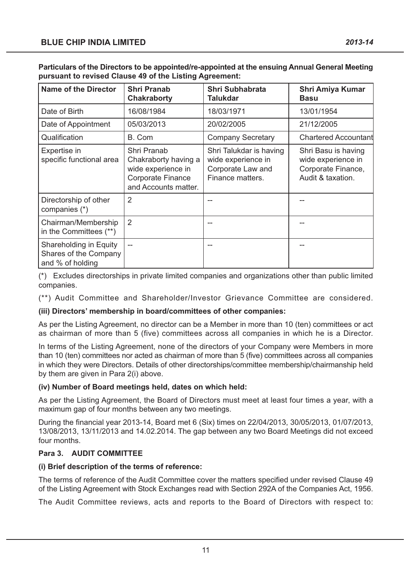| Particulars of the Directors to be appointed/re-appointed at the ensuing Annual General Meeting |
|-------------------------------------------------------------------------------------------------|
| pursuant to revised Clause 49 of the Listing Agreement:                                         |

| <b>Name of the Director</b>                                         | <b>Shri Pranab</b><br><b>Chakraborty</b>                                                                      | <b>Shri Subhabrata</b><br>Talukdar                                                     | <b>Shri Amiya Kumar</b><br><b>Basu</b>                                               |
|---------------------------------------------------------------------|---------------------------------------------------------------------------------------------------------------|----------------------------------------------------------------------------------------|--------------------------------------------------------------------------------------|
| Date of Birth                                                       | 16/08/1984                                                                                                    | 18/03/1971                                                                             | 13/01/1954                                                                           |
| Date of Appointment                                                 | 05/03/2013                                                                                                    | 20/02/2005                                                                             | 21/12/2005                                                                           |
| Qualification                                                       | B. Com                                                                                                        | <b>Company Secretary</b>                                                               | <b>Chartered Accountant</b>                                                          |
| Expertise in<br>specific functional area                            | Shri Pranab<br>Chakraborty having a<br>wide experience in<br><b>Corporate Finance</b><br>and Accounts matter. | Shri Talukdar is having<br>wide experience in<br>Corporate Law and<br>Finance matters. | Shri Basu is having<br>wide experience in<br>Corporate Finance,<br>Audit & taxation. |
| Directorship of other<br>companies (*)                              | 2                                                                                                             |                                                                                        |                                                                                      |
| Chairman/Membership<br>in the Committees (**)                       | $\overline{2}$                                                                                                |                                                                                        |                                                                                      |
| Shareholding in Equity<br>Shares of the Company<br>and % of holding |                                                                                                               |                                                                                        |                                                                                      |

(\*) Excludes directorships in private limited companies and organizations other than public limited companies.

(\*\*) Audit Committee and Shareholder/Investor Grievance Committee are considered.

### **(iii) Directors membership in board/committees of other companies:**

As per the Listing Agreement, no director can be a Member in more than 10 (ten) committees or act as chairman of more than 5 (five) committees across all companies in which he is a Director.

In terms of the Listing Agreement, none of the directors of your Company were Members in more than 10 (ten) committees nor acted as chairman of more than 5 (five) committees across all companies in which they were Directors. Details of other directorships/committee membership/chairmanship held by them are given in Para 2(i) above.

### **(iv) Number of Board meetings held, dates on which held:**

As per the Listing Agreement, the Board of Directors must meet at least four times a year, with a maximum gap of four months between any two meetings.

During the financial year 2013-14, Board met 6 (Six) times on 22/04/2013, 30/05/2013, 01/07/2013, 13/08/2013, 13/11/2013 and 14.02.2014. The gap between any two Board Meetings did not exceed four months.

# **Para 3. AUDIT COMMITTEE**

### **(i) Brief description of the terms of reference:**

The terms of reference of the Audit Committee cover the matters specified under revised Clause 49 of the Listing Agreement with Stock Exchanges read with Section 292A of the Companies Act, 1956.

The Audit Committee reviews, acts and reports to the Board of Directors with respect to: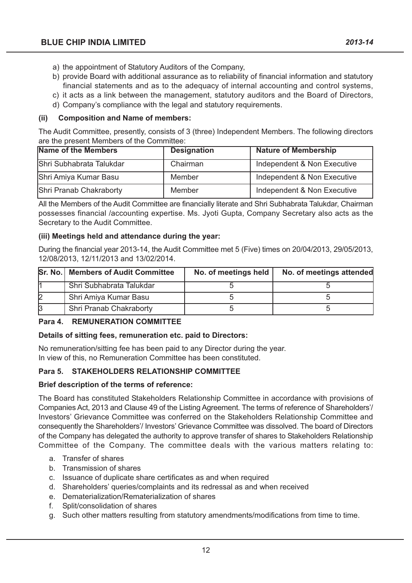- a) the appointment of Statutory Auditors of the Company,
- b) provide Board with additional assurance as to reliability of financial information and statutory financial statements and as to the adequacy of internal accounting and control systems,
- c) it acts as a link between the management, statutory auditors and the Board of Directors,
- d) Company's compliance with the legal and statutory requirements.

#### **(ii) Composition and Name of members:**

The Audit Committee, presently, consists of 3 (three) Independent Members. The following directors are the present Members of the Committee:

| <b>Name of the Members</b> | <b>Designation</b> | <b>Nature of Membership</b> |
|----------------------------|--------------------|-----------------------------|
| Shri Subhabrata Talukdar   | Chairman           | Independent & Non Executive |
| Shri Amiya Kumar Basu      | Member             | Independent & Non Executive |
| Shri Pranab Chakraborty    | Member             | Independent & Non Executive |

All the Members of the Audit Committee are financially literate and Shri Subhabrata Talukdar, Chairman possesses financial /accounting expertise. Ms. Jyoti Gupta, Company Secretary also acts as the Secretary to the Audit Committee.

#### **(iii) Meetings held and attendance during the year:**

During the financial year 2013-14, the Audit Committee met 5 (Five) times on 20/04/2013, 29/05/2013, 12/08/2013, 12/11/2013 and 13/02/2014.

| <b>Sr. No.   Members of Audit Committee</b> | No. of meetings held | No. of meetings attended |
|---------------------------------------------|----------------------|--------------------------|
| Shri Subhabrata Talukdar                    |                      |                          |
| Shri Amiya Kumar Basu                       |                      |                          |
| Shri Pranab Chakraborty                     |                      |                          |

#### **Para 4. REMUNERATION COMMITTEE**

#### **Details of sitting fees, remuneration etc. paid to Directors:**

No remuneration/sitting fee has been paid to any Director during the year. In view of this, no Remuneration Committee has been constituted.

### **Para 5. STAKEHOLDERS RELATIONSHIP COMMITTEE**

#### **Brief description of the terms of reference:**

The Board has constituted Stakeholders Relationship Committee in accordance with provisions of Companies Act, 2013 and Clause 49 of the Listing Agreement. The terms of reference of Shareholders/ Investors' Grievance Committee was conferred on the Stakeholders Relationship Committee and consequently the Shareholders'/ Investors' Grievance Committee was dissolved. The board of Directors of the Company has delegated the authority to approve transfer of shares to Stakeholders Relationship Committee of the Company. The committee deals with the various matters relating to:

- a. Transfer of shares
- b. Transmission of shares
- c. Issuance of duplicate share certificates as and when required
- d. Shareholders' queries/complaints and its redressal as and when received
- e. Dematerialization/Rematerialization of shares
- f. Split/consolidation of shares
- g. Such other matters resulting from statutory amendments/modifications from time to time.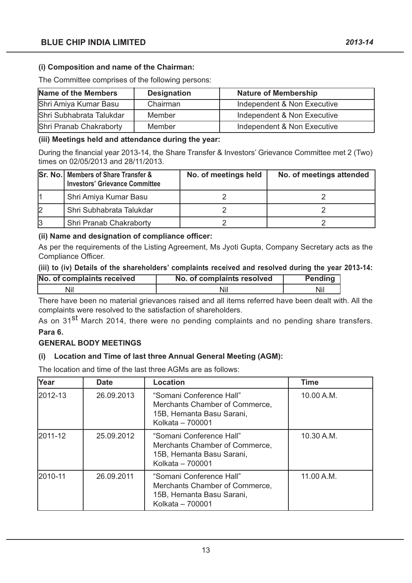### **(i) Composition and name of the Chairman:**

The Committee comprises of the following persons:

| Name of the Members      | <b>Designation</b> | <b>Nature of Membership</b> |
|--------------------------|--------------------|-----------------------------|
| Shri Amiya Kumar Basu    | Chairman           | Independent & Non Executive |
| Shri Subhabrata Talukdar | Member             | Independent & Non Executive |
| Shri Pranab Chakraborty  | Member             | Independent & Non Executive |

#### **(iii) Meetings held and attendance during the year:**

During the financial year 2013-14, the Share Transfer & Investors' Grievance Committee met 2 (Two) times on 02/05/2013 and 28/11/2013.

|    | Sr. No.   Members of Share Transfer &<br><b>Investors' Grievance Committee</b> | No. of meetings held | No. of meetings attended |
|----|--------------------------------------------------------------------------------|----------------------|--------------------------|
|    | Shri Amiya Kumar Basu                                                          |                      |                          |
| 12 | Shri Subhabrata Talukdar                                                       |                      |                          |
| 13 | Shri Pranab Chakraborty                                                        |                      |                          |

#### **(ii) Name and designation of compliance officer:**

As per the requirements of the Listing Agreement, Ms Jyoti Gupta, Company Secretary acts as the Compliance Officer.

#### (iii) to (iv) Details of the shareholders' complaints received and resolved during the year 2013-14:

| No. of complaints received | No. of complaints resolved | <b>Pending</b> |
|----------------------------|----------------------------|----------------|
|                            |                            | Nil            |

There have been no material grievances raised and all items referred have been dealt with. All the complaints were resolved to the satisfaction of shareholders.

As on 31<sup>st</sup> March 2014, there were no pending complaints and no pending share transfers. **Para 6.**

### **GENERAL BODY MEETINGS**

### **(i) Location and Time of last three Annual General Meeting (AGM):**

The location and time of the last three AGMs are as follows:

| <b>Year</b> | <b>Date</b> | Location                                                                                                    | <b>Time</b> |
|-------------|-------------|-------------------------------------------------------------------------------------------------------------|-------------|
| 2012-13     | 26.09.2013  | "Somani Conference Hall"<br>Merchants Chamber of Commerce,<br>15B, Hemanta Basu Sarani,<br>Kolkata - 700001 | 10.00 A.M.  |
| 2011-12     | 25.09.2012  | "Somani Conference Hall"<br>Merchants Chamber of Commerce,<br>15B, Hemanta Basu Sarani,<br>Kolkata - 700001 | 10.30 A.M.  |
| 2010-11     | 26.09.2011  | "Somani Conference Hall"<br>Merchants Chamber of Commerce,<br>15B, Hemanta Basu Sarani,<br>Kolkata - 700001 | 11.00 A.M.  |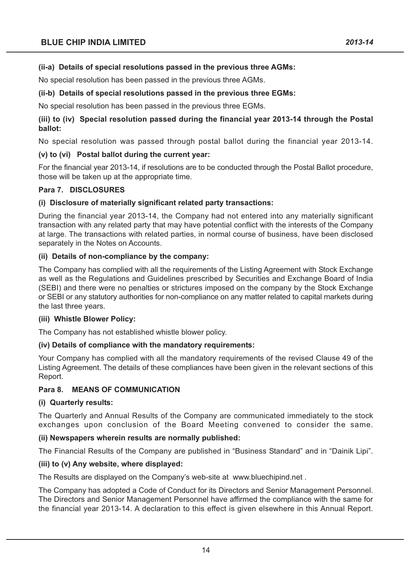# **(ii-a) Details of special resolutions passed in the previous three AGMs:**

No special resolution has been passed in the previous three AGMs.

# **(ii-b) Details of special resolutions passed in the previous three EGMs:**

No special resolution has been passed in the previous three EGMs.

# **(iii) to (iv) Special resolution passed during the financial year 2013-14 through the Postal ballot:**

No special resolution was passed through postal ballot during the financial year 2013-14.

### **(v) to (vi) Postal ballot during the current year:**

For the financial year 2013-14, if resolutions are to be conducted through the Postal Ballot procedure, those will be taken up at the appropriate time.

### **Para 7. DISCLOSURES**

### **(i) Disclosure of materially significant related party transactions:**

During the financial year 2013-14, the Company had not entered into any materially significant transaction with any related party that may have potential conflict with the interests of the Company at large. The transactions with related parties, in normal course of business, have been disclosed separately in the Notes on Accounts.

#### **(ii) Details of non-compliance by the company:**

The Company has complied with all the requirements of the Listing Agreement with Stock Exchange as well as the Regulations and Guidelines prescribed by Securities and Exchange Board of India (SEBI) and there were no penalties or strictures imposed on the company by the Stock Exchange or SEBI or any statutory authorities for non-compliance on any matter related to capital markets during the last three years.

### **(iii) Whistle Blower Policy:**

The Company has not established whistle blower policy.

### **(iv) Details of compliance with the mandatory requirements:**

Your Company has complied with all the mandatory requirements of the revised Clause 49 of the Listing Agreement. The details of these compliances have been given in the relevant sections of this Report.

### **Para 8. MEANS OF COMMUNICATION**

### **(i) Quarterly results:**

The Quarterly and Annual Results of the Company are communicated immediately to the stock exchanges upon conclusion of the Board Meeting convened to consider the same.

### **(ii) Newspapers wherein results are normally published:**

The Financial Results of the Company are published in "Business Standard" and in "Dainik Lipi".

### **(iii) to (v) Any website, where displayed:**

The Results are displayed on the Company's web-site at www.bluechipind.net.

The Company has adopted a Code of Conduct for its Directors and Senior Management Personnel. The Directors and Senior Management Personnel have affirmed the compliance with the same for the financial year 2013-14. A declaration to this effect is given elsewhere in this Annual Report.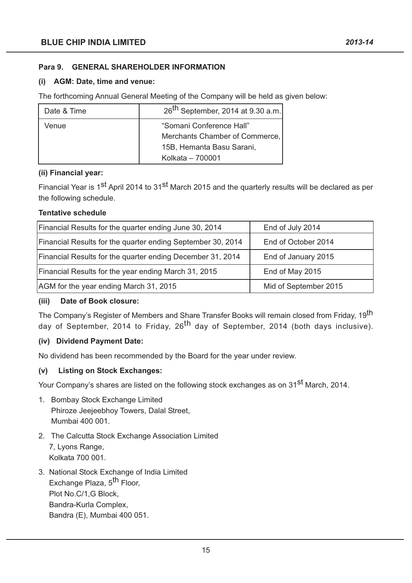# **Para 9. GENERAL SHAREHOLDER INFORMATION**

# **(i) AGM: Date, time and venue:**

The forthcoming Annual General Meeting of the Company will be held as given below:

| Date & Time | 26 <sup>th</sup> September, 2014 at 9.30 a.m.                                                               |
|-------------|-------------------------------------------------------------------------------------------------------------|
| Venue       | "Somani Conference Hall"<br>Merchants Chamber of Commerce,<br>15B, Hemanta Basu Sarani,<br>Kolkata - 700001 |

# **(ii) Financial year:**

Financial Year is 1<sup>st</sup> April 2014 to 31<sup>st</sup> March 2015 and the quarterly results will be declared as per the following schedule.

# **Tentative schedule**

| Financial Results for the quarter ending June 30, 2014      | End of July 2014      |
|-------------------------------------------------------------|-----------------------|
| Financial Results for the quarter ending September 30, 2014 | End of October 2014   |
| Financial Results for the quarter ending December 31, 2014  | End of January 2015   |
| Financial Results for the year ending March 31, 2015        | End of May 2015       |
| AGM for the year ending March 31, 2015                      | Mid of September 2015 |

### **(iii) Date of Book closure:**

The Company's Register of Members and Share Transfer Books will remain closed from Friday, 19<sup>th</sup> day of September, 2014 to Friday, 26<sup>th</sup> day of September, 2014 (both days inclusive).

### **(iv) Dividend Payment Date:**

No dividend has been recommended by the Board for the year under review.

# **(v) Listing on Stock Exchanges:**

Your Company's shares are listed on the following stock exchanges as on 31<sup>st</sup> March, 2014.

- 1. Bombay Stock Exchange Limited Phiroze Jeejeebhoy Towers, Dalal Street, Mumbai 400 001.
- 2. The Calcutta Stock Exchange Association Limited 7, Lyons Range, Kolkata 700 001.
- 3. National Stock Exchange of India Limited Exchange Plaza, 5<sup>th</sup> Floor, Plot No.C/1,G Block, Bandra-Kurla Complex, Bandra (E), Mumbai 400 051.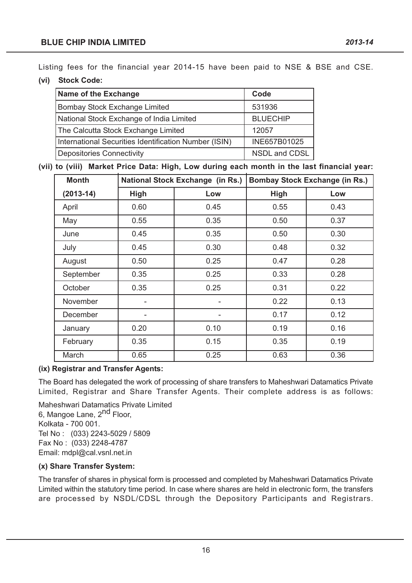Listing fees for the financial year 2014-15 have been paid to NSE & BSE and CSE.

**(vi) Stock Code:**

| <b>Name of the Exchange</b>                           | Code            |
|-------------------------------------------------------|-----------------|
| Bombay Stock Exchange Limited                         | 531936          |
| National Stock Exchange of India Limited              | <b>BLUECHIP</b> |
| The Calcutta Stock Exchange Limited                   | 12057           |
| International Securities Identification Number (ISIN) | INE657B01025    |
| <b>Depositories Connectivity</b>                      | NSDL and CDSL   |

**(vii) to (viii) Market Price Data: High, Low during each month in the last financial year:**

| <b>Month</b> | <b>National Stock Exchange (in Rs.)</b> |      |      | <b>Bombay Stock Exchange (in Rs.)</b> |
|--------------|-----------------------------------------|------|------|---------------------------------------|
| $(2013-14)$  | High                                    | Low  | High | Low                                   |
| April        | 0.60                                    | 0.45 | 0.55 | 0.43                                  |
| May          | 0.55                                    | 0.35 | 0.50 | 0.37                                  |
| June         | 0.45                                    | 0.35 | 0.50 | 0.30                                  |
| July         | 0.45                                    | 0.30 | 0.48 | 0.32                                  |
| August       | 0.50                                    | 0.25 | 0.47 | 0.28                                  |
| September    | 0.35                                    | 0.25 | 0.33 | 0.28                                  |
| October      | 0.35                                    | 0.25 | 0.31 | 0.22                                  |
| November     |                                         |      | 0.22 | 0.13                                  |
| December     |                                         |      | 0.17 | 0.12                                  |
| January      | 0.20                                    | 0.10 | 0.19 | 0.16                                  |
| February     | 0.35                                    | 0.15 | 0.35 | 0.19                                  |
| March        | 0.65                                    | 0.25 | 0.63 | 0.36                                  |

### **(ix) Registrar and Transfer Agents:**

The Board has delegated the work of processing of share transfers to Maheshwari Datamatics Private Limited, Registrar and Share Transfer Agents. Their complete address is as follows:

Maheshwari Datamatics Private Limited 6, Mangoe Lane, 2<sup>nd</sup> Floor, Kolkata - 700 001. Tel No : (033) 2243-5029 / 5809 Fax No : (033) 2248-4787 Email: mdpl@cal.vsnl.net.in

# **(x) Share Transfer System:**

The transfer of shares in physical form is processed and completed by Maheshwari Datamatics Private Limited within the statutory time period. In case where shares are held in electronic form, the transfers are processed by NSDL/CDSL through the Depository Participants and Registrars.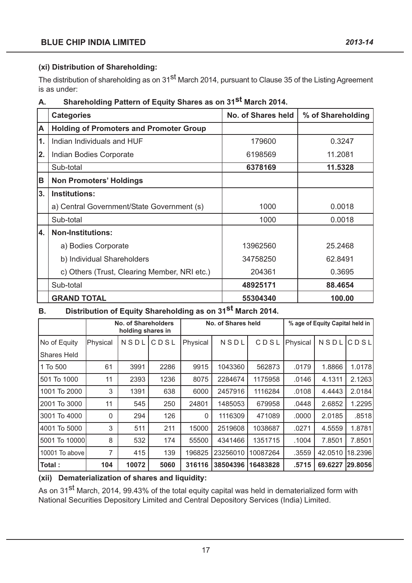# **(xi) Distribution of Shareholding:**

The distribution of shareholding as on 31<sup>st</sup> March 2014, pursuant to Clause 35 of the Listing Agreement is as under:

|  | А. | Shareholding Pattern of Equity Shares as on 31 <sup>st</sup> March 2014. |  |  |
|--|----|--------------------------------------------------------------------------|--|--|
|--|----|--------------------------------------------------------------------------|--|--|

|    | <b>Categories</b>                              | No. of Shares held | % of Shareholding |
|----|------------------------------------------------|--------------------|-------------------|
| A  | <b>Holding of Promoters and Promoter Group</b> |                    |                   |
| 1. | Indian Individuals and HUF                     | 179600             | 0.3247            |
| 2. | Indian Bodies Corporate                        | 6198569            | 11.2081           |
|    | Sub-total                                      | 6378169            | 11.5328           |
| lВ | <b>Non Promoters' Holdings</b>                 |                    |                   |
| 3. | <b>Institutions:</b>                           |                    |                   |
|    | a) Central Government/State Government (s)     | 1000               | 0.0018            |
|    | Sub-total                                      | 1000               | 0.0018            |
| 4. | <b>Non-Institutions:</b>                       |                    |                   |
|    | a) Bodies Corporate                            | 13962560           | 25.2468           |
|    | b) Individual Shareholders                     | 34758250           | 62.8491           |
|    | c) Others (Trust, Clearing Member, NRI etc.)   | 204361             | 0.3695            |
|    | Sub-total                                      | 48925171           | 88.4654           |
|    | <b>GRAND TOTAL</b>                             | 55304340           | 100.00            |

**B. Distribution of Equity Shareholding as on 31st March 2014.**

|                |          | <b>No. of Shareholders</b><br>holding shares in |      |              | No. of Shares held |          |          | % age of Equity Capital held in |         |
|----------------|----------|-------------------------------------------------|------|--------------|--------------------|----------|----------|---------------------------------|---------|
| No of Equity   | Physical | NSDL                                            | CDSL | Physical     | NSDL               | CDSL     | Physical | NSDL                            | CDSL    |
| Shares Held    |          |                                                 |      |              |                    |          |          |                                 |         |
| 1 To 500       | 61       | 3991                                            | 2286 | 9915         | 1043360            | 562873   | .0179    | 1.8866                          | 1.0178  |
| 501 To 1000    | 11       | 2393                                            | 1236 | 8075         | 2284674            | 1175958  | .0146    | 4.1311                          | 2.1263  |
| 1001 To 2000   | 3        | 1391                                            | 638  | 6000         | 2457916            | 1116284  | .0108    | 4.4443                          | 2.0184  |
| 2001 To 3000   | 11       | 545                                             | 250  | 24801        | 1485053            | 679958   | .0448    | 2.6852                          | 1.2295  |
| 3001 To 4000   | 0        | 294                                             | 126  | $\mathbf{0}$ | 1116309            | 471089   | .0000    | 2.0185                          | .8518   |
| 4001 To 5000   | 3        | 511                                             | 211  | 15000        | 2519608            | 1038687  | .0271    | 4.5559                          | 1.8781  |
| 5001 To 10000  | 8        | 532                                             | 174  | 55500        | 4341466            | 1351715  | .1004    | 7.8501                          | 7.8501  |
| 10001 To above | 7        | 415                                             | 139  | 196825       | 23256010           | 10087264 | .3559    | 42.0510                         | 18.2396 |
| Total:         | 104      | 10072                                           | 5060 | 316116       | 38504396           | 16483828 | .5715    | 69.6227                         | 29,8056 |

**(xii) Dematerialization of shares and liquidity:**

As on 31<sup>st</sup> March, 2014, 99.43% of the total equity capital was held in dematerialized form with National Securities Depository Limited and Central Depository Services (India) Limited.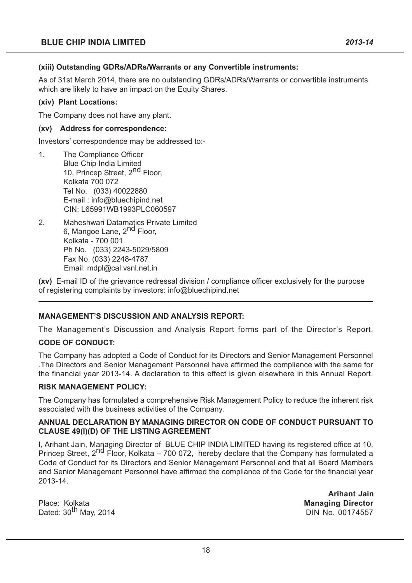### **(xiii) Outstanding GDRs/ADRs/Warrants or any Convertible instruments:**

As of 31st March 2014, there are no outstanding GDRs/ADRs/Warrants or convertible instruments which are likely to have an impact on the Equity Shares.

### **(xiv) Plant Locations:**

The Company does not have any plant.

#### **(xv) Address for correspondence:**

Investors' correspondence may be addressed to:-

- 1. The Compliance Officer Blue Chip India Limited 10, Princep Street, 2<sup>nd</sup> Floor, Kolkata 700 072 Tel No. (033) 40022880 E-mail : info@bluechipind.net CIN: L65991WB1993PLC060597
- 2. Maheshwari Datamatics Private Limited 6, Mangoe Lane, 2<sup>nd</sup> Floor, Kolkata - 700 001 Ph No. (033) 2243-5029/5809 Fax No. (033) 2248-4787 Email: mdpl@cal.vsnl.net.in

**(xv)** E-mail ID of the grievance redressal division / compliance officer exclusively for the purpose of registering complaints by investors: info@bluechipind.net

# **MANAGEMENT'S DISCUSSION AND ANALYSIS REPORT:**

The Management's Discussion and Analysis Report forms part of the Director's Report.

### **CODE OF CONDUCT:**

The Company has adopted a Code of Conduct for its Directors and Senior Management Personnel .The Directors and Senior Management Personnel have affirmed the compliance with the same for the financial year 2013-14. A declaration to this effect is given elsewhere in this Annual Report.

### **RISK MANAGEMENT POLICY:**

The Company has formulated a comprehensive Risk Management Policy to reduce the inherent risk associated with the business activities of the Company.

### **ANNUAL DECLARATION BY MANAGING DIRECTOR ON CODE OF CONDUCT PURSUANT TO CLAUSE 49(I)(D) OF THE LISTING AGREEMENT**

I, Arihant Jain, Managing Director of BLUE CHIP INDIA LIMITED having its registered office at 10, Princep Street, 2<sup>nd</sup> Floor, Kolkata – 700 072, hereby declare that the Company has formulated a Code of Conduct for its Directors and Senior Management Personnel and that all Board Members and Senior Management Personnel have affirmed the compliance of the Code for the financial year 2013-14.

Place: Kolkata **Managing Director** Dated: 30<sup>th</sup> May, 2014 **Discript Act 2014** Discriming Discriming Discriming Discriming Discriming Discriming Discriming Discriming Discriming Discriming Discriming Discriming Discriming Discriming Discriming Discriming Di

**Arihant Jain**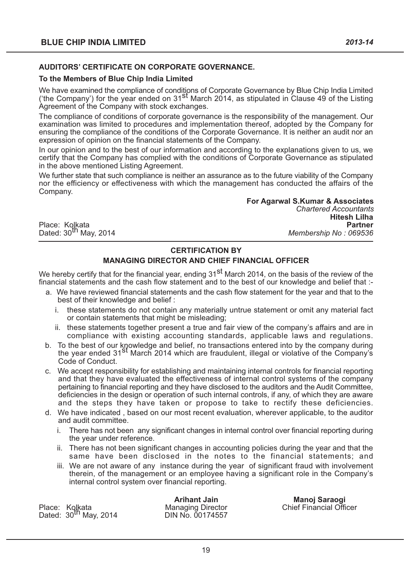# **AUDITORS CERTIFICATE ON CORPORATE GOVERNANCE.**

#### **To the Members of Blue Chip India Limited**

We have examined the compliance of conditions of Corporate Governance by Blue Chip India Limited<br>('the Company') for the year ended on 31<sup>St</sup> March 2014, as stipulated in Clause 49 of the Listing Agreement of the Company with stock exchanges.

The compliance of conditions of corporate governance is the responsibility of the management. Our examination was limited to procedures and implementation thereof, adopted by the Company for ensuring the compliance of the conditions of the Corporate Governance. It is neither an audit nor an expression of opinion on the financial statements of the Company.

In our opinion and to the best of our information and according to the explanations given to us, we certify that the Company has complied with the conditions of Corporate Governance as stipulated in the above mentioned Listing Agreement.

We further state that such compliance is neither an assurance as to the future viability of the Company nor the efficiency or effectiveness with which the management has conducted the affairs of the Company.

 **For Agarwal S.Kumar & Associates**  *Chartered Accountants* **Hitesh Lilha** Place: Kolkata **Partner** Dated: 30th May, 2014 *Membership No : 069536*

# **CERTIFICATION BY**

# **MANAGING DIRECTOR AND CHIEF FINANCIAL OFFICER**

We hereby certify that for the financial year, ending 31<sup>st</sup> March 2014, on the basis of the review of the financial statements and the cash flow statement and to the best of our knowledge and belief that :-

- a. We have reviewed financial statements and the cash flow statement for the year and that to the best of their knowledge and belief :
	- i. these statements do not contain any materially untrue statement or omit any material fact or contain statements that might be misleading;
	- ii. these statements together present a true and fair view of the company's affairs and are in compliance with existing accounting standards, applicable laws and regulations.
- b. To the best of our knowledge and belief, no transactions entered into by the company during<br>the year ended 31<sup>st</sup> March 2014 which are fraudulent, illegal or violative of the Company's Code of Conduct.
- c. We accept responsibility for establishing and maintaining internal controls for financial reporting and that they have evaluated the effectiveness of internal control systems of the company pertaining to financial reporting and they have disclosed to the auditors and the Audit Committee, deficiencies in the design or operation of such internal controls, if any, of which they are aware and the steps they have taken or propose to take to rectify these deficiencies.
- d. We have indicated , based on our most recent evaluation, wherever applicable, to the auditor and audit committee.
	- i. There has not been any significant changes in internal control over financial reporting during the year under reference.
	- ii. There has not been significant changes in accounting policies during the year and that the same have been disclosed in the notes to the financial statements; and
	- iii. We are not aware of any instance during the year of significant fraud with involvement therein, of the management or an employee having a significant role in the Companys internal control system over financial reporting.

Place: Kolkata Managing Director Chief Financial Officer<br>Dated: 30<sup>th</sup> May, 2014 DIN No. 00174557

**Arihant Jain Manoj Saraogi**<br>Managing Director Chief Financial Officer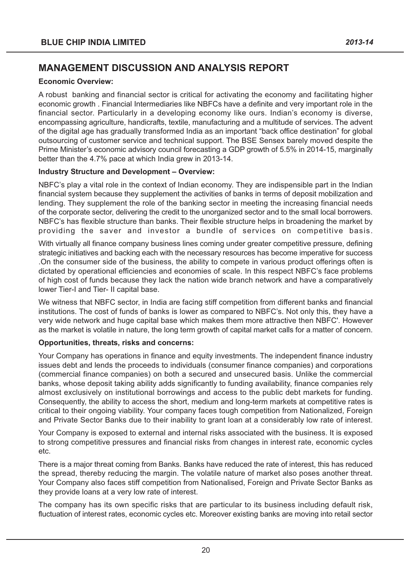# **MANAGEMENT DISCUSSION AND ANALYSIS REPORT**

# **Economic Overview:**

A robust banking and financial sector is critical for activating the economy and facilitating higher economic growth . Financial Intermediaries like NBFCs have a definite and very important role in the financial sector. Particularly in a developing economy like ours. Indian's economy is diverse, encompassing agriculture, handicrafts, textile, manufacturing and a multitude of services. The advent of the digital age has gradually transformed India as an important "back office destination" for global outsourcing of customer service and technical support. The BSE Sensex barely moved despite the Prime Minister's economic advisory council forecasting a GDP growth of 5.5% in 2014-15, marginally better than the 4.7% pace at which India grew in 2013-14.

# **Industry Structure and Development - Overview:**

NBFC's play a vital role in the context of Indian economy. They are indispensible part in the Indian financial system because they supplement the activities of banks in terms of deposit mobilization and lending. They supplement the role of the banking sector in meeting the increasing financial needs of the corporate sector, delivering the credit to the unorganized sector and to the small local borrowers. NBFC's has flexible structure than banks. Their flexible structure helps in broadening the market by providing the saver and investor a bundle of services on competitive basis.

With virtually all finance company business lines coming under greater competitive pressure, defining strategic initiatives and backing each with the necessary resources has become imperative for success .On the consumer side of the business, the ability to compete in various product offerings often is dictated by operational efficiencies and economies of scale. In this respect NBFC's face problems of high cost of funds because they lack the nation wide branch network and have a comparatively lower Tier-I and Tier- II capital base.

We witness that NBFC sector, in India are facing stiff competition from different banks and financial institutions. The cost of funds of banks is lower as compared to NBFC's. Not only this, they have a very wide network and huge capital base which makes them more attractive then NBFC'. However as the market is volatile in nature, the long term growth of capital market calls for a matter of concern.

### **Opportunities, threats, risks and concerns:**

Your Company has operations in finance and equity investments. The independent finance industry issues debt and lends the proceeds to individuals (consumer finance companies) and corporations (commercial finance companies) on both a secured and unsecured basis. Unlike the commercial banks, whose deposit taking ability adds significantly to funding availability, finance companies rely almost exclusively on institutional borrowings and access to the public debt markets for funding. Consequently, the ability to access the short, medium and long-term markets at competitive rates is critical to their ongoing viability. Your company faces tough competition from Nationalized, Foreign and Private Sector Banks due to their inability to grant loan at a considerably low rate of interest.

Your Company is exposed to external and internal risks associated with the business. It is exposed to strong competitive pressures and financial risks from changes in interest rate, economic cycles etc.

There is a major threat coming from Banks. Banks have reduced the rate of interest, this has reduced the spread, thereby reducing the margin. The volatile nature of market also poses another threat. Your Company also faces stiff competition from Nationalised, Foreign and Private Sector Banks as they provide loans at a very low rate of interest.

The company has its own specific risks that are particular to its business including default risk, fluctuation of interest rates, economic cycles etc. Moreover existing banks are moving into retail sector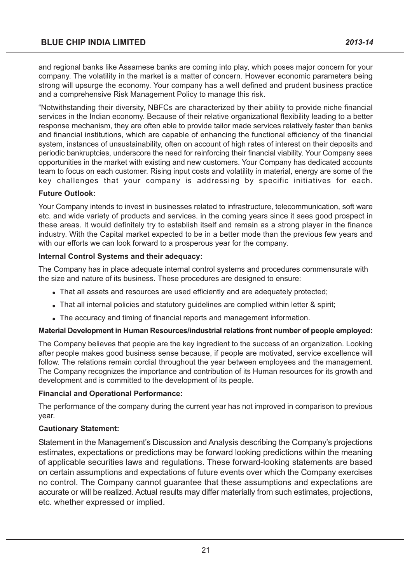and regional banks like Assamese banks are coming into play, which poses major concern for your company. The volatility in the market is a matter of concern. However economic parameters being strong will upsurge the economy. Your company has a well defined and prudent business practice and a comprehensive Risk Management Policy to manage this risk.

Notwithstanding their diversity, NBFCs are characterized by their ability to provide niche financial services in the Indian economy. Because of their relative organizational flexibility leading to a better response mechanism, they are often able to provide tailor made services relatively faster than banks and financial institutions, which are capable of enhancing the functional efficiency of the financial system, instances of unsustainability, often on account of high rates of interest on their deposits and periodic bankruptcies, underscore the need for reinforcing their financial viability. Your Company sees opportunities in the market with existing and new customers. Your Company has dedicated accounts team to focus on each customer. Rising input costs and volatility in material, energy are some of the key challenges that your company is addressing by specific initiatives for each.

# **Future Outlook:**

Your Company intends to invest in businesses related to infrastructure, telecommunication, soft ware etc. and wide variety of products and services. in the coming years since it sees good prospect in these areas. It would definitely try to establish itself and remain as a strong player in the finance industry. With the Capital market expected to be in a better mode than the previous few years and with our efforts we can look forward to a prosperous year for the company.

### **Internal Control Systems and their adequacy:**

The Company has in place adequate internal control systems and procedures commensurate with the size and nature of its business. These procedures are designed to ensure:

- That all assets and resources are used efficiently and are adequately protected;
- That all internal policies and statutory guidelines are complied within letter & spirit;
- The accuracy and timing of financial reports and management information.

### **Material Development in Human Resources/industrial relations front number of people employed:**

The Company believes that people are the key ingredient to the success of an organization. Looking after people makes good business sense because, if people are motivated, service excellence will follow. The relations remain cordial throughout the year between employees and the management. The Company recognizes the importance and contribution of its Human resources for its growth and development and is committed to the development of its people.

### **Financial and Operational Performance:**

The performance of the company during the current year has not improved in comparison to previous year.

### **Cautionary Statement:**

Statement in the Management's Discussion and Analysis describing the Company's projections estimates, expectations or predictions may be forward looking predictions within the meaning of applicable securities laws and regulations. These forward-looking statements are based on certain assumptions and expectations of future events over which the Company exercises no control. The Company cannot guarantee that these assumptions and expectations are accurate or will be realized. Actual results may differ materially from such estimates, projections, etc. whether expressed or implied.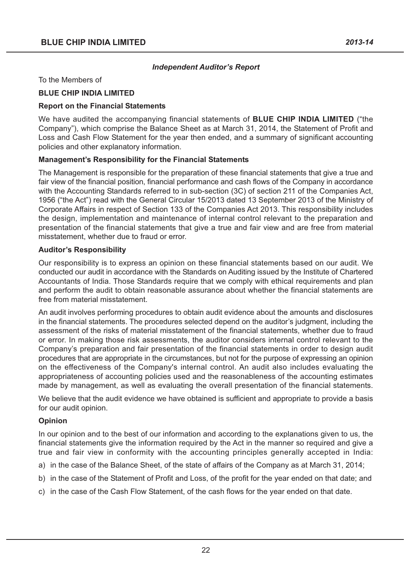### **Independent Auditor's Report**

To the Members of

### **BLUE CHIP INDIA LIMITED**

### **Report on the Financial Statements**

We have audited the accompanying financial statements of **BLUE CHIP INDIA LIMITED** ("the Company), which comprise the Balance Sheet as at March 31, 2014, the Statement of Profit and Loss and Cash Flow Statement for the year then ended, and a summary of significant accounting policies and other explanatory information.

# **Management's Responsibility for the Financial Statements**

The Management is responsible for the preparation of these financial statements that give a true and fair view of the financial position, financial performance and cash flows of the Company in accordance with the Accounting Standards referred to in sub-section (3C) of section 211 of the Companies Act, 1956 ("the Act") read with the General Circular 15/2013 dated 13 September 2013 of the Ministry of Corporate Affairs in respect of Section 133 of the Companies Act 2013. This responsibility includes the design, implementation and maintenance of internal control relevant to the preparation and presentation of the financial statements that give a true and fair view and are free from material misstatement, whether due to fraud or error.

### **Auditor's Responsibility**

Our responsibility is to express an opinion on these financial statements based on our audit. We conducted our audit in accordance with the Standards on Auditing issued by the Institute of Chartered Accountants of India. Those Standards require that we comply with ethical requirements and plan and perform the audit to obtain reasonable assurance about whether the financial statements are free from material misstatement.

An audit involves performing procedures to obtain audit evidence about the amounts and disclosures in the financial statements. The procedures selected depend on the auditor's judgment, including the assessment of the risks of material misstatement of the financial statements, whether due to fraud or error. In making those risk assessments, the auditor considers internal control relevant to the Company's preparation and fair presentation of the financial statements in order to design audit procedures that are appropriate in the circumstances, but not for the purpose of expressing an opinion on the effectiveness of the Company's internal control. An audit also includes evaluating the appropriateness of accounting policies used and the reasonableness of the accounting estimates made by management, as well as evaluating the overall presentation of the financial statements.

We believe that the audit evidence we have obtained is sufficient and appropriate to provide a basis for our audit opinion.

### **Opinion**

In our opinion and to the best of our information and according to the explanations given to us, the financial statements give the information required by the Act in the manner so required and give a true and fair view in conformity with the accounting principles generally accepted in India:

- a) in the case of the Balance Sheet, of the state of affairs of the Company as at March 31, 2014;
- b) in the case of the Statement of Profit and Loss, of the profit for the year ended on that date; and
- c) in the case of the Cash Flow Statement, of the cash flows for the year ended on that date.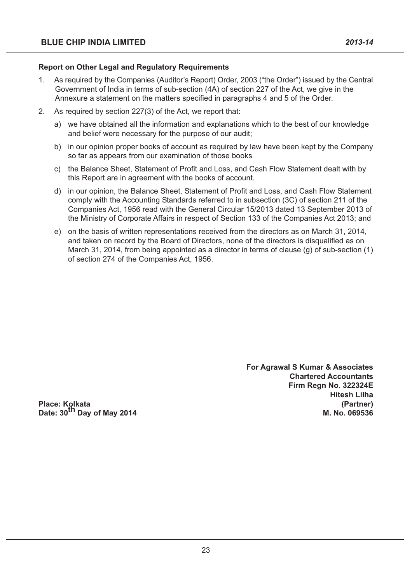#### **Report on Other Legal and Regulatory Requirements**

- 1. As required by the Companies (Auditor's Report) Order, 2003 ("the Order") issued by the Central Government of India in terms of sub-section (4A) of section 227 of the Act, we give in the Annexure a statement on the matters specified in paragraphs 4 and 5 of the Order.
- 2. As required by section 227(3) of the Act, we report that:
	- a) we have obtained all the information and explanations which to the best of our knowledge and belief were necessary for the purpose of our audit;
	- b) in our opinion proper books of account as required by law have been kept by the Company so far as appears from our examination of those books
	- c) the Balance Sheet, Statement of Profit and Loss, and Cash Flow Statement dealt with by this Report are in agreement with the books of account.
	- d) in our opinion, the Balance Sheet, Statement of Profit and Loss, and Cash Flow Statement comply with the Accounting Standards referred to in subsection (3C) of section 211 of the Companies Act, 1956 read with the General Circular 15/2013 dated 13 September 2013 of the Ministry of Corporate Affairs in respect of Section 133 of the Companies Act 2013; and
	- e) on the basis of written representations received from the directors as on March 31, 2014, and taken on record by the Board of Directors, none of the directors is disqualified as on March 31, 2014, from being appointed as a director in terms of clause (g) of sub-section (1) of section 274 of the Companies Act, 1956.

**For Agrawal S Kumar & Associates Chartered Accountants Firm Regn No. 322324E Hitesh Lilha Place: Kolkata (Partner) Date: 30<sup>th</sup> Day of May 2014 Maxwell 2017 M. No. 069536**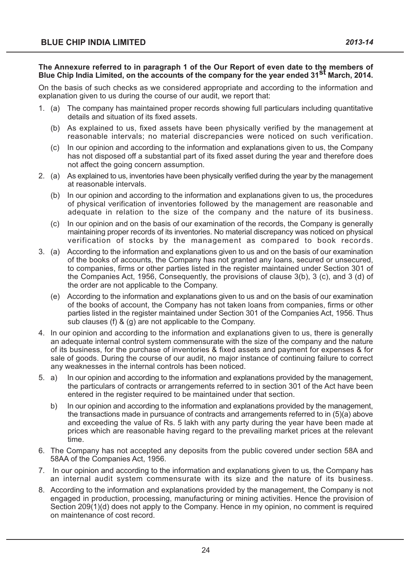#### **The Annexure referred to in paragraph 1 of the Our Report of even date to the members of Blue Chip India Limited, on the accounts of the company for the year ended 31st March, 2014.**

On the basis of such checks as we considered appropriate and according to the information and explanation given to us during the course of our audit, we report that:

- 1. (a) The company has maintained proper records showing full particulars including quantitative details and situation of its fixed assets.
	- (b) As explained to us, fixed assets have been physically verified by the management at reasonable intervals; no material discrepancies were noticed on such verification.
	- (c) In our opinion and according to the information and explanations given to us, the Company has not disposed off a substantial part of its fixed asset during the year and therefore does not affect the going concern assumption.
- 2. (a) As explained to us, inventories have been physically verified during the year by the management at reasonable intervals.
	- (b) In our opinion and according to the information and explanations given to us, the procedures of physical verification of inventories followed by the management are reasonable and adequate in relation to the size of the company and the nature of its business.
	- (c) In our opinion and on the basis of our examination of the records, the Company is generally maintaining proper records of its inventories. No material discrepancy was noticed on physical verification of stocks by the management as compared to book records.
- 3. (a) According to the information and explanations given to us and on the basis of our examination of the books of accounts, the Company has not granted any loans, secured or unsecured, to companies, firms or other parties listed in the register maintained under Section 301 of the Companies Act, 1956, Consequently, the provisions of clause 3(b), 3 (c), and 3 (d) of the order are not applicable to the Company.
	- (e) According to the information and explanations given to us and on the basis of our examination of the books of account, the Company has not taken loans from companies, firms or other parties listed in the register maintained under Section 301 of the Companies Act, 1956. Thus sub clauses (f) & (g) are not applicable to the Company.
- 4. In our opinion and according to the information and explanations given to us, there is generally an adequate internal control system commensurate with the size of the company and the nature of its business, for the purchase of inventories & fixed assets and payment for expenses & for sale of goods. During the course of our audit, no major instance of continuing failure to correct any weaknesses in the internal controls has been noticed.
- 5. a) In our opinion and according to the information and explanations provided by the management, the particulars of contracts or arrangements referred to in section 301 of the Act have been entered in the register required to be maintained under that section.
	- b) In our opinion and according to the information and explanations provided by the management, the transactions made in pursuance of contracts and arrangements referred to in (5)(a) above and exceeding the value of Rs. 5 lakh with any party during the year have been made at prices which are reasonable having regard to the prevailing market prices at the relevant time.
- 6. The Company has not accepted any deposits from the public covered under section 58A and 58AA of the Companies Act, 1956.
- 7. In our opinion and according to the information and explanations given to us, the Company has an internal audit system commensurate with its size and the nature of its business.
- 8. According to the information and explanations provided by the management, the Company is not engaged in production, processing, manufacturing or mining activities. Hence the provision of Section 209(1)(d) does not apply to the Company. Hence in my opinion, no comment is required on maintenance of cost record.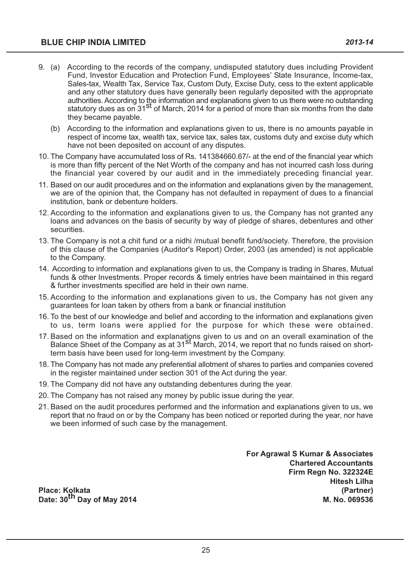- 9. (a) According to the records of the company, undisputed statutory dues including Provident
	- Fund, Investor Education and Protection Fund, Employees' State Insurance, Income-tax, Sales-tax, Wealth Tax, Service Tax, Custom Duty, Excise Duty, cess to the extent applicable and any other statutory dues have generally been regularly deposited with the appropriate authorities. According to the information and explanations given to us there were no outstanding statutory dues as on 31<sup>st</sup> of March, 2014 for a period of more than six months from the date they became payable.
		- (b) According to the information and explanations given to us, there is no amounts payable in respect of income tax, wealth tax, service tax, sales tax, customs duty and excise duty which have not been deposited on account of any disputes.
- 10. The Company have accumulated loss of Rs. 141384660.67/- at the end of the financial year which is more than fifty percent of the Net Worth of the company and has not incurred cash loss during the financial year covered by our audit and in the immediately preceding financial year.
- 11. Based on our audit procedures and on the information and explanations given by the management, we are of the opinion that, the Company has not defaulted in repayment of dues to a financial institution, bank or debenture holders.
- 12. According to the information and explanations given to us, the Company has not granted any loans and advances on the basis of security by way of pledge of shares, debentures and other securities.
- 13. The Company is not a chit fund or a nidhi /mutual benefit fund/society. Therefore, the provision of this clause of the Companies (Auditor's Report) Order, 2003 (as amended) is not applicable to the Company.
- 14. According to information and explanations given to us, the Company is trading in Shares, Mutual funds & other Investments. Proper records & timely entries have been maintained in this regard & further investments specified are held in their own name.
- 15. According to the information and explanations given to us, the Company has not given any guarantees for loan taken by others from a bank or financial institution
- 16. To the best of our knowledge and belief and according to the information and explanations given to us, term loans were applied for the purpose for which these were obtained.
- 17. Based on the information and explanations given to us and on an overall examination of the Balance Sheet of the Company as at 31<sup>st</sup> March, 2014, we report that no funds raised on shortterm basis have been used for long-term investment by the Company.
- 18. The Company has not made any preferential allotment of shares to parties and companies covered in the register maintained under section 301 of the Act during the year.
- 19. The Company did not have any outstanding debentures during the year.
- 20. The Company has not raised any money by public issue during the year.
- 21. Based on the audit procedures performed and the information and explanations given to us, we report that no fraud on or by the Company has been noticed or reported during the year, nor have we been informed of such case by the management.

**For Agrawal S Kumar & Associates Chartered Accountants Firm Regn No. 322324E Hitesh Lilha Place: Kolkata (Partner) Date: 30<sup>th</sup> Day of May 2014 M. No. 069536**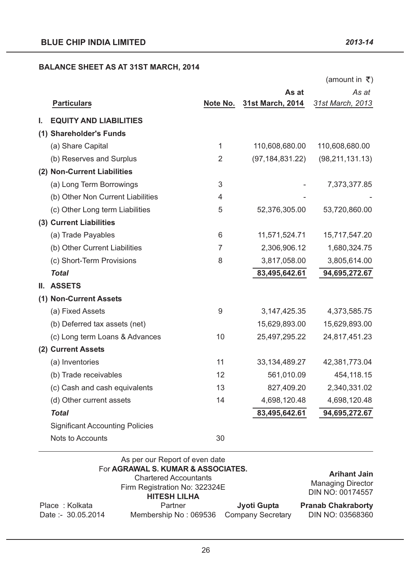# **BALANCE SHEET AS AT 31ST MARCH, 2014**

|    |                                        |                |                   | (amount in ₹)     |
|----|----------------------------------------|----------------|-------------------|-------------------|
|    |                                        |                | As at             | As at             |
|    | <b>Particulars</b>                     | Note No.       | 31st March, 2014  | 31st March, 2013  |
| L. | <b>EQUITY AND LIABILITIES</b>          |                |                   |                   |
|    | (1) Shareholder's Funds                |                |                   |                   |
|    | (a) Share Capital                      | 1              | 110,608,680.00    | 110,608,680.00    |
|    | (b) Reserves and Surplus               | $\overline{2}$ | (97, 184, 831.22) | (98, 211, 131.13) |
|    | (2) Non-Current Liabilities            |                |                   |                   |
|    | (a) Long Term Borrowings               | 3              |                   | 7,373,377.85      |
|    | (b) Other Non Current Liabilities      | 4              |                   |                   |
|    | (c) Other Long term Liabilities        | 5              | 52,376,305.00     | 53,720,860.00     |
|    | (3) Current Liabilities                |                |                   |                   |
|    | (a) Trade Payables                     | 6              | 11,571,524.71     | 15,717,547.20     |
|    | (b) Other Current Liabilities          | $\overline{7}$ | 2,306,906.12      | 1,680,324.75      |
|    | (c) Short-Term Provisions              | 8              | 3,817,058.00      | 3,805,614.00      |
|    | <b>Total</b>                           |                | 83,495,642.61     | 94,695,272.67     |
| Ш. | <b>ASSETS</b>                          |                |                   |                   |
|    | (1) Non-Current Assets                 |                |                   |                   |
|    | (a) Fixed Assets                       | 9              | 3, 147, 425. 35   | 4,373,585.75      |
|    | (b) Deferred tax assets (net)          |                | 15,629,893.00     | 15,629,893.00     |
|    | (c) Long term Loans & Advances         | 10             | 25,497,295.22     | 24,817,451.23     |
|    | (2) Current Assets                     |                |                   |                   |
|    | (a) Inventories                        | 11             | 33, 134, 489. 27  | 42,381,773.04     |
|    | (b) Trade receivables                  | 12             | 561,010.09        | 454,118.15        |
|    | (c) Cash and cash equivalents          | 13             | 827,409.20        | 2,340,331.02      |
|    | (d) Other current assets               | 14             | 4,698,120.48      | 4,698,120.48      |
|    | <b>Total</b>                           |                | 83,495,642.61     | 94,695,272.67     |
|    | <b>Significant Accounting Policies</b> |                |                   |                   |
|    | Nots to Accounts                       | 30             |                   |                   |

|                                      | As per our Report of even date<br>For AGRAWAL S. KUMAR & ASSOCIATES.<br>Firm Registration No: 322324E | <b>Arihant Jain</b><br><b>Managing Director</b><br>DIN NO: 00174557 |                                               |
|--------------------------------------|-------------------------------------------------------------------------------------------------------|---------------------------------------------------------------------|-----------------------------------------------|
| Place: Kolkata<br>Date: - 30.05.2014 | <b>HITESH LILHA</b><br>Partner<br>Membership No: 069536                                               | Jyoti Gupta<br><b>Company Secretary</b>                             | <b>Pranab Chakraborty</b><br>DIN NO: 03568360 |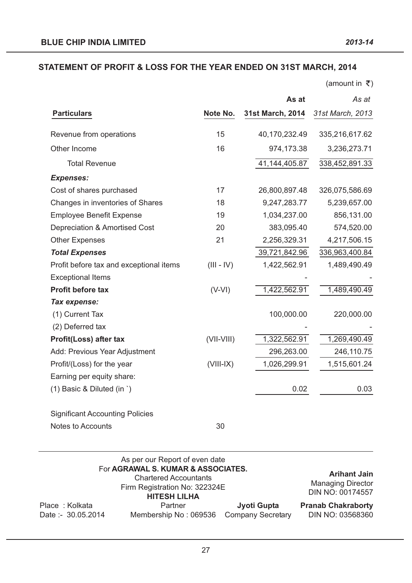(amount in  $\bar{z}$ )

|                                          |              | As at            | As at            |
|------------------------------------------|--------------|------------------|------------------|
| <b>Particulars</b>                       | Note No.     | 31st March, 2014 | 31st March, 2013 |
| Revenue from operations                  | 15           | 40,170,232.49    | 335,216,617.62   |
| Other Income                             | 16           | 974,173.38       | 3,236,273.71     |
| <b>Total Revenue</b>                     |              | 41,144,405.87    | 338,452,891.33   |
| <b>Expenses:</b>                         |              |                  |                  |
| Cost of shares purchased                 | 17           | 26,800,897.48    | 326,075,586.69   |
| Changes in inventories of Shares         | 18           | 9,247,283.77     | 5,239,657.00     |
| <b>Employee Benefit Expense</b>          | 19           | 1,034,237.00     | 856,131.00       |
| <b>Depreciation &amp; Amortised Cost</b> | 20           | 383,095.40       | 574,520.00       |
| <b>Other Expenses</b>                    | 21           | 2,256,329.31     | 4,217,506.15     |
| <b>Total Expenses</b>                    |              | 39,721,842.96    | 336,963,400.84   |
| Profit before tax and exceptional items  | $(III - IV)$ | 1,422,562.91     | 1,489,490.49     |
| <b>Exceptional Items</b>                 |              |                  |                  |
| <b>Profit before tax</b>                 | $(V-VI)$     | 1,422,562.91     | 1,489,490.49     |
| Tax expense:                             |              |                  |                  |
| (1) Current Tax                          |              | 100,000.00       | 220,000.00       |
| (2) Deferred tax                         |              |                  |                  |
| <b>Profit(Loss) after tax</b>            | $(VII-VIII)$ | 1,322,562.91     | 1,269,490.49     |
| Add: Previous Year Adjustment            |              | 296,263.00       | 246,110.75       |
| Profit/(Loss) for the year               | $(VIII-IX)$  | 1,026,299.91     | 1,515,601.24     |
| Earning per equity share:                |              |                  |                  |
| (1) Basic & Diluted (in `)               |              | 0.02             | 0.03             |
| <b>Significant Accounting Policies</b>   |              |                  |                  |
| Notes to Accounts                        | 30           |                  |                  |

|                    | As per our Report of even date<br>For AGRAWAL S. KUMAR & ASSOCIATES.<br>Firm Registration No: 322324E | <b>Arihant Jain</b><br><b>Managing Director</b><br>DIN NO: 00174557 |                           |
|--------------------|-------------------------------------------------------------------------------------------------------|---------------------------------------------------------------------|---------------------------|
| Place: Kolkata     | Partner                                                                                               | Jyoti Gupta                                                         | <b>Pranab Chakraborty</b> |
| Date: - 30.05.2014 | Membership No: 069536                                                                                 | <b>Company Secretary</b>                                            | DIN NO: 03568360          |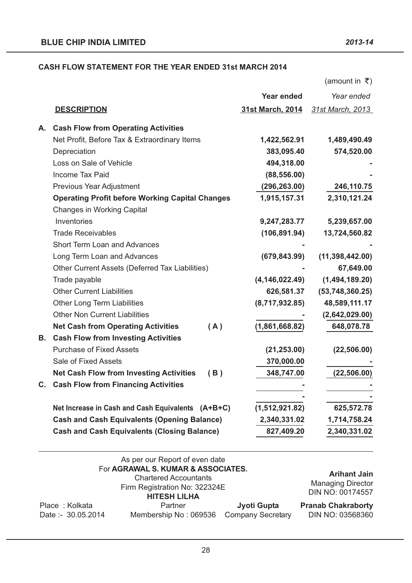# **CASH FLOW STATEMENT FOR THE YEAR ENDED 31st MARCH 2014**

|    |                                                        |                   | (amount in ₹)     |
|----|--------------------------------------------------------|-------------------|-------------------|
|    |                                                        | <b>Year ended</b> | Year ended        |
|    | <b>DESCRIPTION</b>                                     | 31st March, 2014  | 31st March, 2013  |
| А. | <b>Cash Flow from Operating Activities</b>             |                   |                   |
|    | Net Profit, Before Tax & Extraordinary Items           | 1,422,562.91      | 1,489,490.49      |
|    | Depreciation                                           | 383,095.40        | 574,520.00        |
|    | Loss on Sale of Vehicle                                | 494,318.00        |                   |
|    | Income Tax Paid                                        | (88, 556.00)      |                   |
|    | Previous Year Adjustment                               | (296, 263.00)     | 246,110.75        |
|    | <b>Operating Profit before Working Capital Changes</b> | 1,915,157.31      | 2,310,121.24      |
|    | <b>Changes in Working Capital</b>                      |                   |                   |
|    | Inventories                                            | 9,247,283.77      | 5,239,657.00      |
|    | <b>Trade Receivables</b>                               | (106, 891.94)     | 13,724,560.82     |
|    | Short Term Loan and Advances                           |                   |                   |
|    | Long Term Loan and Advances                            | (679, 843.99)     | (11, 398, 442.00) |
|    | Other Current Assets (Deferred Tax Liabilities)        |                   | 67,649.00         |
|    | Trade payable                                          | (4, 146, 022.49)  | (1,494,189.20)    |
|    | <b>Other Current Liabilities</b>                       | 626,581.37        | (53, 748, 360.25) |
|    | <b>Other Long Term Liabilities</b>                     | (8,717,932.85)    | 48,589,111.17     |
|    | <b>Other Non Current Liabilities</b>                   |                   | (2,642,029.00)    |
|    | <b>Net Cash from Operating Activities</b><br>(A)       | (1,861,668.82)    | 648,078.78        |
| В. | <b>Cash Flow from Investing Activities</b>             |                   |                   |
|    | <b>Purchase of Fixed Assets</b>                        | (21, 253.00)      | (22, 506.00)      |
|    | Sale of Fixed Assets                                   | 370,000.00        |                   |
|    | <b>Net Cash Flow from Investing Activities</b><br>(B)  | 348,747.00        | (22, 506.00)      |
| C. | <b>Cash Flow from Financing Activities</b>             |                   |                   |
|    |                                                        |                   |                   |
|    | Net Increase in Cash and Cash Equivalents (A+B+C)      | (1,512,921.82)    | 625,572.78        |
|    | <b>Cash and Cash Equivalents (Opening Balance)</b>     | 2,340,331.02      | 1,714,758.24      |
|    | <b>Cash and Cash Equivalents (Closing Balance)</b>     | 827,409.20        | 2,340,331.02      |

|                    | As per our Report of even date<br>For AGRAWAL S. KUMAR & ASSOCIATES.<br><b>Chartered Accountants</b><br>Firm Registration No: 322324E<br><b>HITESH LILHA</b> |                          | <b>Arihant Jain</b><br><b>Managing Director</b><br>DIN NO: 00174557 |
|--------------------|--------------------------------------------------------------------------------------------------------------------------------------------------------------|--------------------------|---------------------------------------------------------------------|
| Place: Kolkata     | Partner                                                                                                                                                      | Jyoti Gupta              | <b>Pranab Chakraborty</b>                                           |
| Date: - 30.05.2014 | Membership No: 069536                                                                                                                                        | <b>Company Secretary</b> | DIN NO: 03568360                                                    |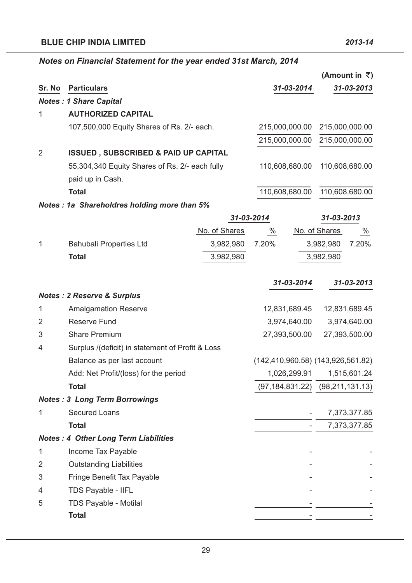|                |                                                    |               |                                           |                                         |               | (Amount in $\bar{z}$ ) |
|----------------|----------------------------------------------------|---------------|-------------------------------------------|-----------------------------------------|---------------|------------------------|
| Sr. No         | <b>Particulars</b>                                 |               |                                           | 31-03-2014                              |               | 31-03-2013             |
|                | <b>Notes: 1 Share Capital</b>                      |               |                                           |                                         |               |                        |
| 1              | <b>AUTHORIZED CAPITAL</b>                          |               |                                           |                                         |               |                        |
|                | 107,500,000 Equity Shares of Rs. 2/- each.         |               |                                           | 215,000,000.00                          |               | 215,000,000.00         |
|                |                                                    |               |                                           | 215,000,000.00                          |               | 215,000,000.00         |
| $\overline{2}$ | <b>ISSUED, SUBSCRIBED &amp; PAID UP CAPITAL</b>    |               |                                           |                                         |               |                        |
|                | 55,304,340 Equity Shares of Rs. 2/- each fully     |               |                                           | 110,608,680.00                          |               | 110,608,680.00         |
|                | paid up in Cash.                                   |               |                                           |                                         |               |                        |
|                | <b>Total</b>                                       |               |                                           | 110,608,680.00                          |               | 110,608,680.00         |
|                | <b>Notes: 1a Shareholdres holding more than 5%</b> |               |                                           |                                         |               |                        |
|                |                                                    |               | 31-03-2014                                |                                         | 31-03-2013    |                        |
|                |                                                    | No. of Shares | $\%$                                      |                                         | No. of Shares | $\%$                   |
| 1              | <b>Bahubali Properties Ltd</b>                     | 3,982,980     | 7.20%                                     |                                         | 3,982,980     | 7.20%                  |
|                | <b>Total</b>                                       | 3,982,980     |                                           |                                         | 3,982,980     |                        |
|                |                                                    |               |                                           | 31-03-2014                              |               | 31-03-2013             |
|                | <b>Notes: 2 Reserve &amp; Surplus</b>              |               |                                           |                                         |               |                        |
| 1              | <b>Amalgamation Reserve</b>                        |               |                                           | 12,831,689.45                           |               | 12,831,689.45          |
| $\overline{2}$ | <b>Reserve Fund</b>                                |               |                                           | 3,974,640.00                            |               | 3,974,640.00           |
| 3              | <b>Share Premium</b>                               |               |                                           | 27,393,500.00                           |               | 27,393,500.00          |
| 4              | Surplus /(deficit) in statement of Profit & Loss   |               |                                           |                                         |               |                        |
|                | Balance as per last account                        |               | $(142, 410, 960.58)$ $(143, 926, 561.82)$ |                                         |               |                        |
|                | Add: Net Profit/(loss) for the period              |               |                                           | 1,026,299.91                            |               | 1,515,601.24           |
|                | <b>Total</b>                                       |               |                                           | $(97, 184, 831.22)$ $(98, 211, 131.13)$ |               |                        |
|                | <b>Notes: 3 Long Term Borrowings</b>               |               |                                           |                                         |               |                        |
| 1              | <b>Secured Loans</b>                               |               |                                           |                                         |               | 7,373,377.85           |
|                | <b>Total</b>                                       |               |                                           |                                         |               | 7,373,377.85           |
|                | <b>Notes: 4 Other Long Term Liabilities</b>        |               |                                           |                                         |               |                        |
| 1              | Income Tax Payable                                 |               |                                           |                                         |               |                        |
| 2              | <b>Outstanding Liabilities</b>                     |               |                                           |                                         |               |                        |
| 3              | Fringe Benefit Tax Payable                         |               |                                           |                                         |               |                        |
| 4              | <b>TDS Payable - IIFL</b>                          |               |                                           |                                         |               |                        |
| 5              | <b>TDS Payable - Motilal</b>                       |               |                                           |                                         |               |                        |
|                | <b>Total</b>                                       |               |                                           |                                         |               |                        |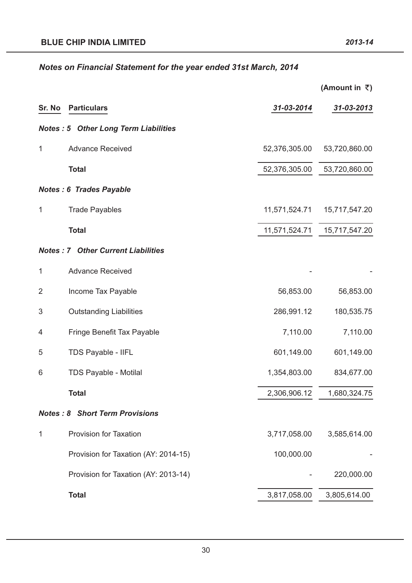|                |                                             |               | (Amount in $\bar{z}$ ) |
|----------------|---------------------------------------------|---------------|------------------------|
| Sr. No         | <b>Particulars</b>                          | 31-03-2014    | 31-03-2013             |
|                | <b>Notes: 5 Other Long Term Liabilities</b> |               |                        |
| 1              | <b>Advance Received</b>                     | 52,376,305.00 | 53,720,860.00          |
|                | <b>Total</b>                                | 52,376,305.00 | 53,720,860.00          |
|                | <b>Notes: 6 Trades Payable</b>              |               |                        |
| 1              | <b>Trade Payables</b>                       | 11,571,524.71 | 15,717,547.20          |
|                | <b>Total</b>                                | 11,571,524.71 | 15,717,547.20          |
|                | <b>Notes: 7 Other Current Liabilities</b>   |               |                        |
| 1              | <b>Advance Received</b>                     |               |                        |
| $\overline{2}$ | Income Tax Payable                          | 56,853.00     | 56,853.00              |
| 3              | <b>Outstanding Liabilities</b>              | 286,991.12    | 180,535.75             |
| 4              | Fringe Benefit Tax Payable                  | 7,110.00      | 7,110.00               |
| 5              | TDS Payable - IIFL                          | 601,149.00    | 601,149.00             |
| 6              | <b>TDS Payable - Motilal</b>                | 1,354,803.00  | 834,677.00             |
|                | <b>Total</b>                                | 2,306,906.12  | 1,680,324.75           |
|                | <b>Notes: 8 Short Term Provisions</b>       |               |                        |
| 1              | <b>Provision for Taxation</b>               | 3,717,058.00  | 3,585,614.00           |
|                | Provision for Taxation (AY: 2014-15)        | 100,000.00    |                        |
|                | Provision for Taxation (AY: 2013-14)        |               | 220,000.00             |
|                | <b>Total</b>                                | 3,817,058.00  | 3,805,614.00           |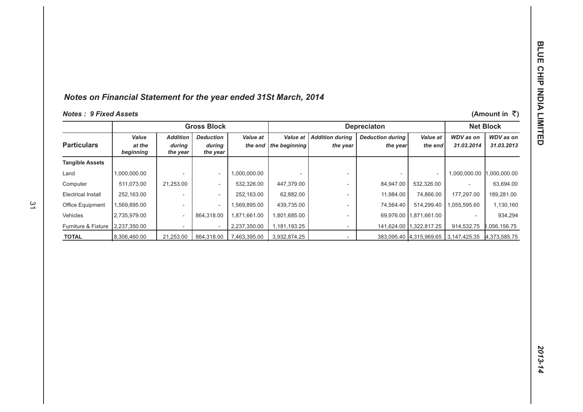# *Notes : 9 Fixed Assets*

| <b>Notes: 9 Fixed Assets</b><br>(Amount in <i>さ</i> ) |                              |                                       |                                        |              |                                     |                                    |                                     |                                      |                                |                                |
|-------------------------------------------------------|------------------------------|---------------------------------------|----------------------------------------|--------------|-------------------------------------|------------------------------------|-------------------------------------|--------------------------------------|--------------------------------|--------------------------------|
|                                                       |                              |                                       | <b>Gross Block</b>                     |              |                                     |                                    | <b>Depreciaton</b>                  |                                      |                                | <b>Net Block</b>               |
| <b>Particulars</b>                                    | Value<br>at the<br>beginning | <b>Addition</b><br>during<br>the year | <b>Deduction</b><br>during<br>the year | Value at     | Value at<br>the end   the beginning | <b>Addition during</b><br>the year | <b>Deduction during</b><br>the year | Value at<br>the end!                 | <b>WDV</b> as on<br>31.03.2014 | <b>WDV</b> as on<br>31.03.2013 |
| <b>Tangible Assets</b>                                |                              |                                       |                                        |              |                                     |                                    |                                     |                                      |                                |                                |
| Land                                                  | 1,000,000.00                 |                                       |                                        | 1,000,000.00 |                                     |                                    |                                     | $\overline{a}$                       | 1,000,000.00                   | 000,000.00                     |
| Computer                                              | 511,073.00                   | 21,253.00                             |                                        | 532.326.00   | 447,379.00                          |                                    | 84,947.00                           | 532,326.00                           |                                | 63,694.00                      |
| <b>Electrical Install</b>                             | 252,163.00                   |                                       |                                        | 252,163.00   | 62,882.00                           |                                    | 11,984.00                           | 74,866.00                            | 177,297.00                     | 189,281.00                     |
| <b>Office Equipment</b>                               | 1,569,895.00                 |                                       |                                        | 1,569,895.00 | 439,735.00                          |                                    | 74,564.40                           | 514,299.40                           | 1,055,595.60                   | 1,130,160                      |
| <b>Vehicles</b>                                       | 2,735,979.00                 |                                       | 864,318.00                             | 1,871,661.00 | 1,801,685.00                        |                                    |                                     | 69,976.00 1,871,661.00               |                                | 934,294                        |
| Furniture & Fixture                                   | 2,237,350.00                 |                                       |                                        | 2,237,350.00 | 1,181,193.25                        |                                    |                                     | 141,624.00 1,322,817.25              | 914,532.75                     | .056,156.75                    |
| <b>TOTAL</b>                                          | 8,306,460.00                 | 21,253.00                             | 864,318.00                             | 7,463,395.00 | 3,932,874.25                        |                                    |                                     | 383,095.40 4,315,969.65 3,147,425.35 |                                | 4,373,585.75                   |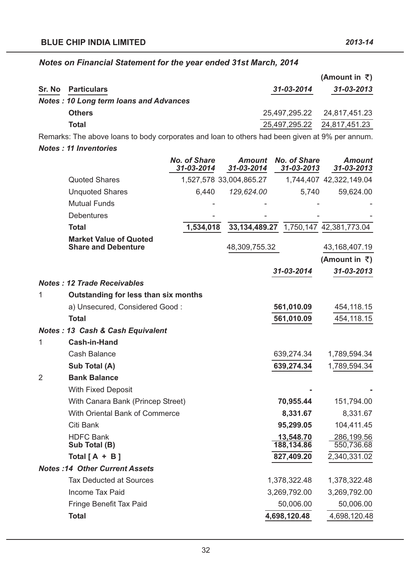|                                               |            | (Amount in ₹)               |
|-----------------------------------------------|------------|-----------------------------|
| <b>Sr. No Particulars</b>                     | 31-03-2014 | 31-03-2013                  |
| <b>Notes: 10 Long term loans and Advances</b> |            |                             |
| <b>Others</b>                                 |            | 25,497,295.22 24,817,451.23 |
| Total                                         |            | 25,497,295.22 24,817,451.23 |

Remarks: The above loans to body corporates and loan to others had been given at 9% per annum. *Notes : 11 Inventories*

|                |                                             | <b>No. of Share</b><br>31-03-2014 | <b>Amount</b><br>31-03-2014 | <b>No. of Share</b><br>31-03-2013 | <b>Amount</b><br>31-03-2013 |
|----------------|---------------------------------------------|-----------------------------------|-----------------------------|-----------------------------------|-----------------------------|
|                | <b>Quoted Shares</b>                        |                                   | 1,527,578 33,004,865.27     |                                   | 1,744,407 42,322,149.04     |
|                | <b>Unquoted Shares</b>                      | 6,440                             | 129,624.00                  | 5,740                             | 59,624.00                   |
|                | <b>Mutual Funds</b>                         |                                   |                             |                                   |                             |
|                | <b>Debentures</b>                           |                                   |                             |                                   |                             |
|                | <b>Total</b>                                | 1,534,018                         | 33, 134, 489. 27            |                                   | 1,750,147 42,381,773.04     |
|                | <b>Market Value of Quoted</b>               |                                   |                             |                                   |                             |
|                | <b>Share and Debenture</b>                  |                                   | 48,309,755.32               |                                   | 43,168,407.19               |
|                |                                             |                                   |                             |                                   | (Amount in $\bar{z}$ )      |
|                |                                             |                                   |                             | 31-03-2014                        | 31-03-2013                  |
|                | <b>Notes: 12 Trade Receivables</b>          |                                   |                             |                                   |                             |
| 1              | Outstanding for less than six months        |                                   |                             |                                   |                             |
|                | a) Unsecured, Considered Good:              |                                   |                             | 561,010.09                        | 454,118.15                  |
|                | <b>Total</b>                                |                                   |                             | 561,010.09                        | 454,118.15                  |
|                | <b>Notes: 13 Cash &amp; Cash Equivalent</b> |                                   |                             |                                   |                             |
| 1              | <b>Cash-in-Hand</b>                         |                                   |                             |                                   |                             |
|                | <b>Cash Balance</b>                         |                                   |                             | 639,274.34                        | 1,789,594.34                |
|                | Sub Total (A)                               |                                   |                             | 639,274.34                        | 1,789,594.34                |
| $\overline{2}$ | <b>Bank Balance</b>                         |                                   |                             |                                   |                             |
|                | <b>With Fixed Deposit</b>                   |                                   |                             |                                   |                             |
|                | With Canara Bank (Princep Street)           |                                   |                             | 70,955.44                         | 151,794.00                  |
|                | With Oriental Bank of Commerce              |                                   |                             | 8,331.67                          | 8,331.67                    |
|                | Citi Bank                                   |                                   |                             | 95,299.05                         | 104,411.45                  |
|                | <b>HDFC Bank</b><br>Sub Total (B)           |                                   |                             | 13,548.70<br>188,134.86           | 286,199.56<br>550,736.68    |
|                | Total $[A + B]$                             |                                   |                             | 827,409.20                        | 2,340,331.02                |
|                | <b>Notes: 14 Other Current Assets</b>       |                                   |                             |                                   |                             |
|                | <b>Tax Deducted at Sources</b>              |                                   |                             | 1,378,322.48                      | 1,378,322.48                |
|                | <b>Income Tax Paid</b>                      |                                   |                             | 3,269,792.00                      | 3,269,792.00                |
|                | Fringe Benefit Tax Paid                     |                                   |                             | 50,006.00                         | 50,006.00                   |
|                | <b>Total</b>                                |                                   |                             | 4,698,120.48                      | 4,698,120.48                |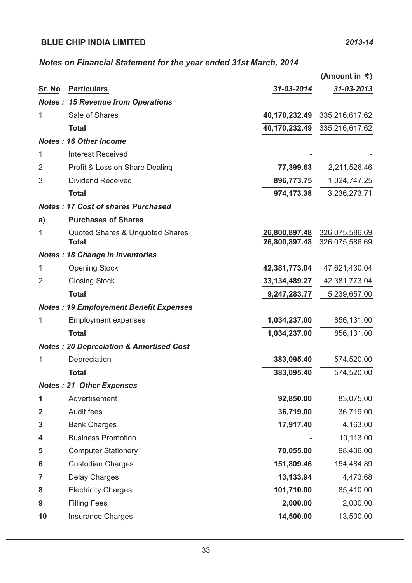|                 |                                                    |                  | (Amount in $\bar{z}$ ) |
|-----------------|----------------------------------------------------|------------------|------------------------|
| Sr. No          | <b>Particulars</b>                                 | 31-03-2014       | 31-03-2013             |
|                 | <b>Notes: 15 Revenue from Operations</b>           |                  |                        |
| 1               | Sale of Shares                                     | 40,170,232.49    | 335,216,617.62         |
|                 | <b>Total</b>                                       | 40,170,232.49    | 335,216,617.62         |
|                 | <b>Notes: 16 Other Income</b>                      |                  |                        |
| 1               | <b>Interest Received</b>                           |                  |                        |
| $\overline{2}$  | Profit & Loss on Share Dealing                     | 77,399.63        | 2,211,526.46           |
| 3               | <b>Dividend Received</b>                           | 896,773.75       | 1,024,747.25           |
|                 | <b>Total</b>                                       | 974,173.38       | 3,236,273.71           |
|                 | <b>Notes: 17 Cost of shares Purchased</b>          |                  |                        |
| a)              | <b>Purchases of Shares</b>                         |                  |                        |
| 1               | Quoted Shares & Unquoted Shares                    | 26,800,897.48    | 326,075,586.69         |
|                 | <b>Total</b>                                       | 26,800,897.48    | 326,075,586.69         |
|                 | <b>Notes: 18 Change in Inventories</b>             |                  |                        |
| 1               | <b>Opening Stock</b>                               | 42,381,773.04    | 47,621,430.04          |
| $\overline{2}$  | <b>Closing Stock</b>                               | 33, 134, 489. 27 | 42,381,773.04          |
|                 | <b>Total</b>                                       | 9,247,283.77     | 5,239,657.00           |
|                 | <b>Notes: 19 Employement Benefit Expenses</b>      |                  |                        |
| 1               | <b>Employment expenses</b>                         | 1,034,237.00     | 856,131.00             |
|                 | <b>Total</b>                                       | 1,034,237.00     | 856,131.00             |
|                 | <b>Notes: 20 Depreciation &amp; Amortised Cost</b> |                  |                        |
| 1               | Depreciation                                       | 383,095.40       | 574,520.00             |
|                 | <b>Total</b>                                       | 383,095.40       | 574,520.00             |
|                 | <b>Notes: 21 Other Expenses</b>                    |                  |                        |
| 1               | Advertisement                                      | 92,850.00        | 83,075.00              |
| $\overline{2}$  | Audit fees                                         | 36,719.00        | 36,719.00              |
| 3               | <b>Bank Charges</b>                                | 17,917.40        | 4,163.00               |
| 4               | <b>Business Promotion</b>                          |                  | 10,113.00              |
| 5               | <b>Computer Stationery</b>                         | 70,055.00        | 98,406.00              |
| $6\phantom{1}6$ | <b>Custodian Charges</b>                           | 151,809.46       | 154,484.89             |
| 7               | <b>Delay Charges</b>                               | 13,133.94        | 4,473.68               |
| 8               | <b>Electricity Charges</b>                         | 101,710.00       | 85,410.00              |
| 9               | <b>Filling Fees</b>                                | 2,000.00         | 2,000.00               |
| 10              | <b>Insurance Charges</b>                           | 14,500.00        | 13,500.00              |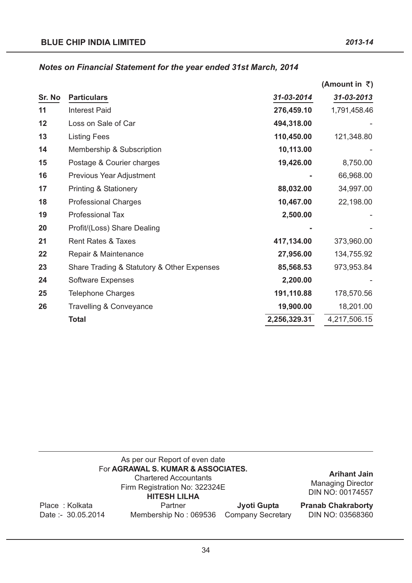|        |                                            |              | (Amount in $\bar{z}$ ) |
|--------|--------------------------------------------|--------------|------------------------|
| Sr. No | <b>Particulars</b>                         | 31-03-2014   | 31-03-2013             |
| 11     | <b>Interest Paid</b>                       | 276,459.10   | 1,791,458.46           |
| 12     | Loss on Sale of Car                        | 494,318.00   |                        |
| 13     | <b>Listing Fees</b>                        | 110,450.00   | 121,348.80             |
| 14     | Membership & Subscription                  | 10,113.00    |                        |
| 15     | Postage & Courier charges                  | 19,426.00    | 8,750.00               |
| 16     | Previous Year Adjustment                   |              | 66,968.00              |
| 17     | <b>Printing &amp; Stationery</b>           | 88,032.00    | 34,997.00              |
| 18     | <b>Professional Charges</b>                | 10,467.00    | 22,198.00              |
| 19     | <b>Professional Tax</b>                    | 2,500.00     |                        |
| 20     | Profit/(Loss) Share Dealing                |              |                        |
| 21     | <b>Rent Rates &amp; Taxes</b>              | 417,134.00   | 373,960.00             |
| 22     | Repair & Maintenance                       | 27,956.00    | 134,755.92             |
| 23     | Share Trading & Statutory & Other Expenses | 85,568.53    | 973,953.84             |
| 24     | Software Expenses                          | 2,200.00     |                        |
| 25     | <b>Telephone Charges</b>                   | 191,110.88   | 178,570.56             |
| 26     | Travelling & Conveyance                    | 19,900.00    | 18,201.00              |
|        | <b>Total</b>                               | 2,256,329.31 | 4,217,506.15           |

| For AGRAWAL S. KUMAR & ASSOCIATES. | <b>Arihant Jain</b><br><b>Managing Director</b><br>DIN NO: 00174557 |                          |                           |
|------------------------------------|---------------------------------------------------------------------|--------------------------|---------------------------|
| Place: Kolkata                     | Partner                                                             | Jyoti Gupta              | <b>Pranab Chakraborty</b> |
| Date: - 30.05.2014                 | Membership No: 069536                                               | <b>Company Secretary</b> | DIN NO: 03568360          |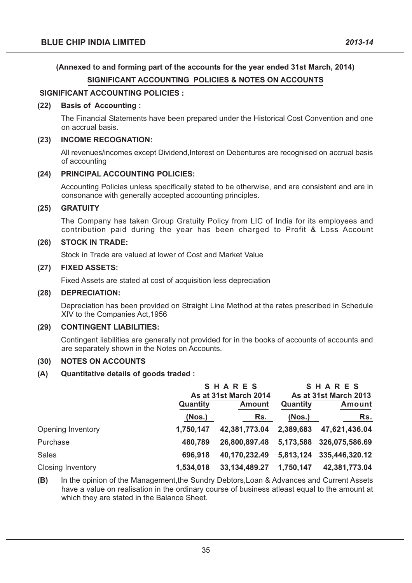# **(Annexed to and forming part of the accounts for the year ended 31st March, 2014) SIGNIFICANT ACCOUNTING POLICIES & NOTES ON ACCOUNTS**

# **SIGNIFICANT ACCOUNTING POLICIES :**

### **(22) Basis of Accounting :**

The Financial Statements have been prepared under the Historical Cost Convention and one on accrual basis.

### **(23) INCOME RECOGNATION:**

All revenues/incomes except Dividend,Interest on Debentures are recognised on accrual basis of accounting

# **(24) PRINCIPAL ACCOUNTING POLICIES:**

Accounting Policies unless specifically stated to be otherwise, and are consistent and are in consonance with generally accepted accounting principles.

# **(25) GRATUITY**

The Company has taken Group Gratuity Policy from LIC of India for its employees and contribution paid during the year has been charged to Profit & Loss Account

# **(26) STOCK IN TRADE:**

Stock in Trade are valued at lower of Cost and Market Value

# **(27) FIXED ASSETS:**

Fixed Assets are stated at cost of acquisition less depreciation

### **(28) DEPRECIATION:**

Depreciation has been provided on Straight Line Method at the rates prescribed in Schedule XIV to the Companies Act,1956

### **(29) CONTINGENT LIABILITIES:**

Contingent liabilities are generally not provided for in the books of accounts of accounts and are separately shown in the Notes on Accounts.

### **(30) NOTES ON ACCOUNTS**

### **(A) Quantitative details of goods traded :**

|                          | SHARES<br>As at 31st March 2014<br>Quantity<br><b>Amount</b> |                  |                                                    | SHARES         |  |
|--------------------------|--------------------------------------------------------------|------------------|----------------------------------------------------|----------------|--|
|                          |                                                              |                  | As at 31st March 2013<br>Quantity<br><b>Amount</b> |                |  |
|                          | (Nos.)                                                       | Rs.              | (Nos.)                                             | Rs.            |  |
| Opening Inventory        | 1,750,147                                                    | 42,381,773.04    | 2,389,683                                          | 47,621,436.04  |  |
| Purchase                 | 480,789                                                      | 26,800,897.48    | 5,173,588                                          | 326,075,586.69 |  |
| <b>Sales</b>             | 696,918                                                      | 40,170,232.49    | 5,813,124                                          | 335,446,320.12 |  |
| <b>Closing Inventory</b> | 1,534,018                                                    | 33, 134, 489. 27 | 1,750,147                                          | 42,381,773.04  |  |

**(B)** In the opinion of the Management,the Sundry Debtors,Loan & Advances and Current Assets have a value on realisation in the ordinary course of business atleast equal to the amount at which they are stated in the Balance Sheet.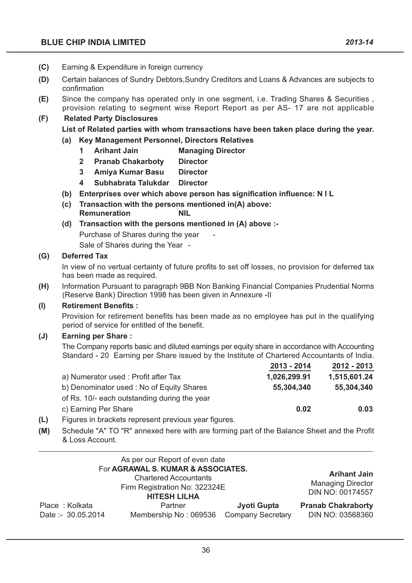- **(C)** Earning & Expenditure in foreign currency
- **(D)** Certain balances of Sundry Debtors,Sundry Creditors and Loans & Advances are subjects to confirmation
- **(E)** Since the company has operated only in one segment, i.e. Trading Shares & Securities , provision relating to segment wise Report Report as per AS- 17 are not applicable
- **(F) Related Party Disclosures**

# **List of Related parties with whom transactions have been taken place during the year.**

- **(a) Key Management Personnel, Directors Relatives**
	- **1 Arihant Jain Managing Director**
	- **2 Pranab Chakarboty Director**
	- **3 Amiya Kumar Basu Director**
	- **4 Subhabrata Talukdar Director**
- **(b) Enterprises over which above person has signification influence: N I L**
- **(c) Transaction with the persons mentioned in(A) above: Remuneration NIL**
- **(d) Transaction with the persons mentioned in (A) above :-**

Purchase of Shares during the year

Sale of Shares during the Year -

# **(G) Deferred Tax**

In view of no vertual certainty of future profits to set off losses, no provision for deferred tax has been made as required.

**(H)** Information Pursuant to paragraph 9BB Non Banking Financial Companies Prudential Norms (Reserve Bank) Direction 1998 has been given in Annexure -II

#### **(I) Retirement Benefits :**

Provision for retirement benefits has been made as no employee has put in the qualifying period of service for entitled of the benefit.

#### **(J) Earning per Share :**

The Company reports basic and diluted earnings per equity share in accordance with Accounting Standard - 20 Earning per Share issued by the Institute of Chartered Accountants of India.

|                                                                      | 2013 - 2014  | 2012 - 2013  |
|----------------------------------------------------------------------|--------------|--------------|
| a) Numerator used: Profit after Tax                                  | 1,026,299.91 | 1,515,601.24 |
| b) Denominator used: No of Equity Shares                             | 55,304,340   | 55,304,340   |
| of Rs. 10/- each outstanding during the year                         |              |              |
| c) Earning Per Share                                                 | 0.02         | 0.03         |
| Fiances of the book of the team of search and the compact fiances of |              |              |

- **(L)** Figures in brackets represent previous year figures.
- **(M)** Schedule "A" TO "R" annexed here with are forming part of the Balance Sheet and the Profit & Loss Account.

| As per our Report of even date<br>For AGRAWAL S. KUMAR & ASSOCIATES.<br><b>Chartered Accountants</b><br>Firm Registration No: 322324E<br><b>HITESH LILHA</b> |                       |                          | <b>Arihant Jain</b><br><b>Managing Director</b><br>DIN NO: 00174557 |
|--------------------------------------------------------------------------------------------------------------------------------------------------------------|-----------------------|--------------------------|---------------------------------------------------------------------|
| Place: Kolkata                                                                                                                                               | Partner               | Jyoti Gupta              | <b>Pranab Chakraborty</b>                                           |
| Date: - 30.05.2014                                                                                                                                           | Membership No: 069536 | <b>Company Secretary</b> | DIN NO: 03568360                                                    |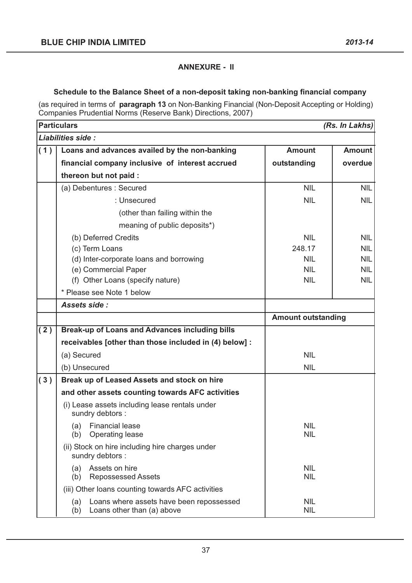# **ANNEXURE - II**

# **Schedule to the Balance Sheet of a non-deposit taking non-banking financial company**

(as required in terms of **paragraph 13** on Non-Banking Financial (Non-Deposit Accepting or Holding) Companies Prudential Norms (Reserve Bank) Directions, 2007)

|     | <b>Particulars</b><br>(Rs. In Lakhs)                                                 |                           |               |  |  |
|-----|--------------------------------------------------------------------------------------|---------------------------|---------------|--|--|
|     | Liabilities side:                                                                    |                           |               |  |  |
| (1) | Loans and advances availed by the non-banking                                        | <b>Amount</b>             | <b>Amount</b> |  |  |
|     | financial company inclusive of interest accrued                                      | outstanding               | overdue       |  |  |
|     | thereon but not paid :                                                               |                           |               |  |  |
|     | (a) Debentures : Secured                                                             | <b>NIL</b>                | <b>NIL</b>    |  |  |
|     | : Unsecured                                                                          | <b>NIL</b>                | <b>NIL</b>    |  |  |
|     | (other than failing within the                                                       |                           |               |  |  |
|     | meaning of public deposits*)                                                         |                           |               |  |  |
|     | (b) Deferred Credits                                                                 | <b>NIL</b>                | <b>NIL</b>    |  |  |
|     | (c) Term Loans                                                                       | 248.17                    | <b>NIL</b>    |  |  |
|     | (d) Inter-corporate loans and borrowing                                              | <b>NIL</b>                | <b>NIL</b>    |  |  |
|     | (e) Commercial Paper                                                                 | <b>NIL</b>                | <b>NIL</b>    |  |  |
|     | (f) Other Loans (specify nature)                                                     | <b>NIL</b>                | <b>NIL</b>    |  |  |
|     | * Please see Note 1 below                                                            |                           |               |  |  |
|     | Assets side:                                                                         |                           |               |  |  |
|     |                                                                                      | <b>Amount outstanding</b> |               |  |  |
| (2) | <b>Break-up of Loans and Advances including bills</b>                                |                           |               |  |  |
|     | receivables [other than those included in (4) below] :                               |                           |               |  |  |
|     | (a) Secured                                                                          | <b>NIL</b>                |               |  |  |
|     | (b) Unsecured                                                                        | <b>NIL</b>                |               |  |  |
| (3) | Break up of Leased Assets and stock on hire                                          |                           |               |  |  |
|     | and other assets counting towards AFC activities                                     |                           |               |  |  |
|     | (i) Lease assets including lease rentals under<br>sundry debtors :                   |                           |               |  |  |
|     | <b>Financial lease</b><br>(a)<br>(b) Operating lease                                 | <b>NIL</b><br><b>NIL</b>  |               |  |  |
|     | (ii) Stock on hire including hire charges under<br>sundry debtors :                  |                           |               |  |  |
|     | Assets on hire<br>(a)<br><b>Repossessed Assets</b><br>(b)                            | <b>NIL</b><br><b>NIL</b>  |               |  |  |
|     | (iii) Other loans counting towards AFC activities                                    |                           |               |  |  |
|     | Loans where assets have been repossessed<br>(a)<br>Loans other than (a) above<br>(b) | <b>NIL</b><br><b>NIL</b>  |               |  |  |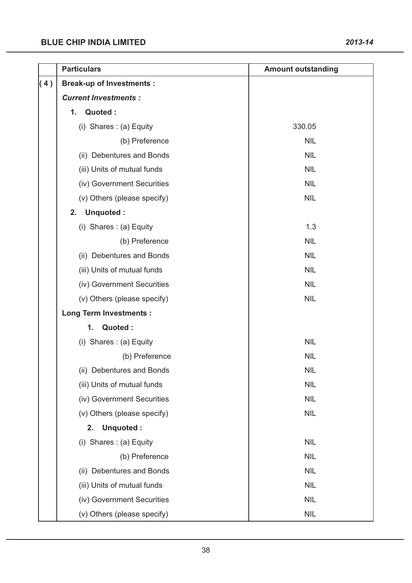|     | <b>Particulars</b>              | <b>Amount outstanding</b> |
|-----|---------------------------------|---------------------------|
| (4) | <b>Break-up of Investments:</b> |                           |
|     | <b>Current Investments:</b>     |                           |
|     | Quoted:<br>1.                   |                           |
|     | (i) Shares: (a) Equity          | 330.05                    |
|     | (b) Preference                  | <b>NIL</b>                |
|     | (ii) Debentures and Bonds       | <b>NIL</b>                |
|     | (iii) Units of mutual funds     | <b>NIL</b>                |
|     | (iv) Government Securities      | <b>NIL</b>                |
|     | (v) Others (please specify)     | <b>NIL</b>                |
|     | Unquoted:<br>2.                 |                           |
|     | (i) Shares: (a) Equity          | 1.3                       |
|     | (b) Preference                  | <b>NIL</b>                |
|     | (ii) Debentures and Bonds       | <b>NIL</b>                |
|     | (iii) Units of mutual funds     | <b>NIL</b>                |
|     | (iv) Government Securities      | <b>NIL</b>                |
|     | (v) Others (please specify)     | <b>NIL</b>                |
|     | <b>Long Term Investments:</b>   |                           |
|     | Quoted:<br>1.                   |                           |
|     | (i) Shares: (a) Equity          | <b>NIL</b>                |
|     | (b) Preference                  | <b>NIL</b>                |
|     | (ii) Debentures and Bonds       | <b>NIL</b>                |
|     | (iii) Units of mutual funds     | <b>NIL</b>                |
|     | (iv) Government Securities      | <b>NIL</b>                |
|     | (v) Others (please specify)     | <b>NIL</b>                |
|     | <b>Unquoted:</b><br>2.          |                           |
|     | (i) Shares: (a) Equity          | <b>NIL</b>                |
|     | (b) Preference                  | <b>NIL</b>                |
|     | (ii) Debentures and Bonds       | <b>NIL</b>                |
|     | (iii) Units of mutual funds     | <b>NIL</b>                |
|     | (iv) Government Securities      | <b>NIL</b>                |
|     | (v) Others (please specify)     | <b>NIL</b>                |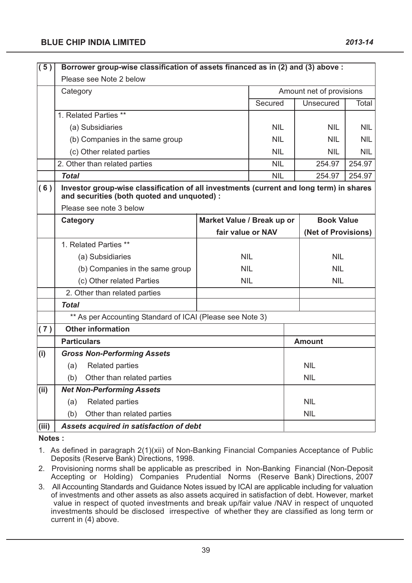| $\overline{(5)}$ | Borrower group-wise classification of assets financed as in (2) and (3) above :                                                        |                            |            |                          |                     |            |
|------------------|----------------------------------------------------------------------------------------------------------------------------------------|----------------------------|------------|--------------------------|---------------------|------------|
|                  | Please see Note 2 below                                                                                                                |                            |            |                          |                     |            |
|                  | Category                                                                                                                               |                            |            | Amount net of provisions |                     |            |
|                  |                                                                                                                                        |                            | Secured    |                          | Unsecured           | Total      |
|                  | 1. Related Parties **                                                                                                                  |                            |            |                          |                     |            |
|                  | (a) Subsidiaries                                                                                                                       |                            | <b>NIL</b> |                          | NIL.                | <b>NIL</b> |
|                  | (b) Companies in the same group                                                                                                        |                            | <b>NIL</b> | <b>NIL</b>               |                     | <b>NIL</b> |
|                  | (c) Other related parties                                                                                                              |                            | <b>NIL</b> |                          | <b>NIL</b>          |            |
|                  | 2. Other than related parties                                                                                                          |                            | <b>NIL</b> |                          | 254.97              | 254.97     |
|                  | <b>Total</b>                                                                                                                           |                            | <b>NIL</b> |                          | 254.97              | 254.97     |
| (6)              | Investor group-wise classification of all investments (current and long term) in shares<br>and securities (both quoted and unquoted) : |                            |            |                          |                     |            |
|                  | Please see note 3 below                                                                                                                |                            |            |                          |                     |            |
|                  | <b>Category</b>                                                                                                                        | Market Value / Break up or |            |                          | <b>Book Value</b>   |            |
|                  |                                                                                                                                        | fair value or NAV          |            |                          | (Net of Provisions) |            |
|                  | 1. Related Parties **                                                                                                                  |                            |            |                          |                     |            |
|                  | (a) Subsidiaries                                                                                                                       | <b>NIL</b>                 |            |                          | <b>NIL</b>          |            |
|                  | (b) Companies in the same group                                                                                                        | <b>NIL</b>                 |            |                          | <b>NIL</b>          |            |
|                  | (c) Other related Parties                                                                                                              | <b>NIL</b>                 |            |                          | <b>NIL</b>          |            |
|                  | 2. Other than related parties                                                                                                          |                            |            |                          |                     |            |
|                  | <b>Total</b>                                                                                                                           |                            |            |                          |                     |            |
|                  | ** As per Accounting Standard of ICAI (Please see Note 3)                                                                              |                            |            |                          |                     |            |
| (7)              | <b>Other information</b>                                                                                                               |                            |            |                          |                     |            |
|                  | <b>Particulars</b>                                                                                                                     |                            |            |                          | <b>Amount</b>       |            |
| (i)              | <b>Gross Non-Performing Assets</b>                                                                                                     |                            |            |                          |                     |            |
|                  | (a)<br><b>Related parties</b>                                                                                                          |                            |            |                          | <b>NIL</b>          |            |
|                  | Other than related parties<br>(b)                                                                                                      |                            |            |                          | <b>NIL</b>          |            |
| (iii)            | <b>Net Non-Performing Assets</b>                                                                                                       |                            |            |                          |                     |            |
|                  | <b>Related parties</b><br>(a)                                                                                                          |                            |            |                          | <b>NIL</b>          |            |
|                  | Other than related parties<br>(b)                                                                                                      |                            |            |                          | <b>NIL</b>          |            |
| (iii)            | Assets acquired in satisfaction of debt                                                                                                |                            |            |                          |                     |            |

#### **Notes :**

1. As defined in paragraph 2(1)(xii) of Non-Banking Financial Companies Acceptance of Public Deposits (Reserve Bank) Directions, 1998.

- 2. Provisioning norms shall be applicable as prescribed in Non-Banking Financial (Non-Deposit Accepting or Holding) Companies Prudential Norms (Reserve Bank) Directions, 2007
- 3. All Accounting Standards and Guidance Notes issued by ICAI are applicable including for valuation of investments and other assets as also assets acquired in satisfaction of debt. However, market value in respect of quoted investments and break up/fair value /NAV in respect of unquoted investments should be disclosed irrespective of whether they are classified as long term or current in (4) above.